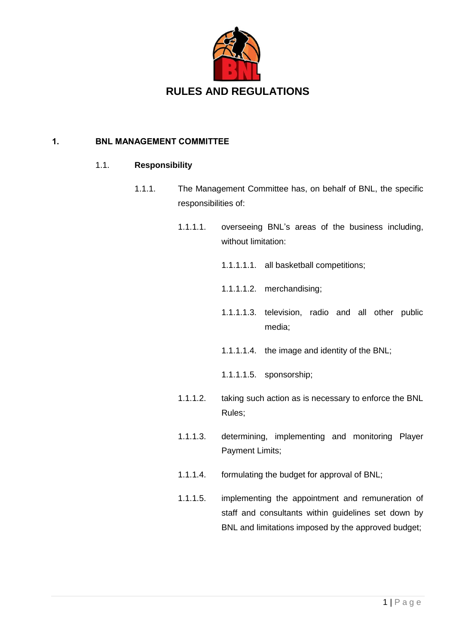

### 1. BNL MANAGEMENT COMMITTEE

### 1.1. **Responsibility**

- 1.1.1. The Management Committee has, on behalf of BNL, the specific responsibilities of:
	- 1.1.1.1. overseeing BNL's areas of the business including, without limitation:
		- 1.1.1.1.1. all basketball competitions;
		- 1.1.1.1.2. merchandising;
		- 1.1.1.1.3. television, radio and all other public media;
		- 1.1.1.1.4. the image and identity of the BNL;
		- 1.1.1.1.5. sponsorship;
	- 1.1.1.2. taking such action as is necessary to enforce the BNL Rules;
	- 1.1.1.3. determining, implementing and monitoring Player Payment Limits;
	- 1.1.1.4. formulating the budget for approval of BNL;
	- 1.1.1.5. implementing the appointment and remuneration of staff and consultants within guidelines set down by BNL and limitations imposed by the approved budget;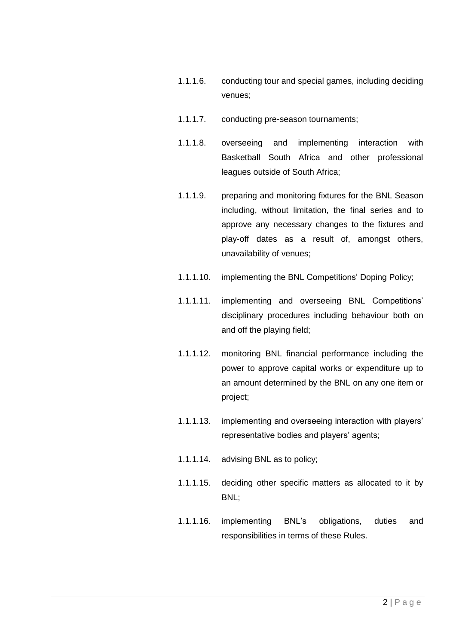- 1.1.1.6. conducting tour and special games, including deciding venues;
- 1.1.1.7. conducting pre-season tournaments;
- 1.1.1.8. overseeing and implementing interaction with Basketball South Africa and other professional leagues outside of South Africa;
- 1.1.1.9. preparing and monitoring fixtures for the BNL Season including, without limitation, the final series and to approve any necessary changes to the fixtures and play-off dates as a result of, amongst others, unavailability of venues;
- 1.1.1.10. implementing the BNL Competitions' Doping Policy;
- 1.1.1.11. implementing and overseeing BNL Competitions' disciplinary procedures including behaviour both on and off the playing field;
- 1.1.1.12. monitoring BNL financial performance including the power to approve capital works or expenditure up to an amount determined by the BNL on any one item or project;
- 1.1.1.13. implementing and overseeing interaction with players' representative bodies and players' agents;
- 1.1.1.14. advising BNL as to policy;
- 1.1.1.15. deciding other specific matters as allocated to it by BNL;
- 1.1.1.16. implementing BNL's obligations, duties and responsibilities in terms of these Rules.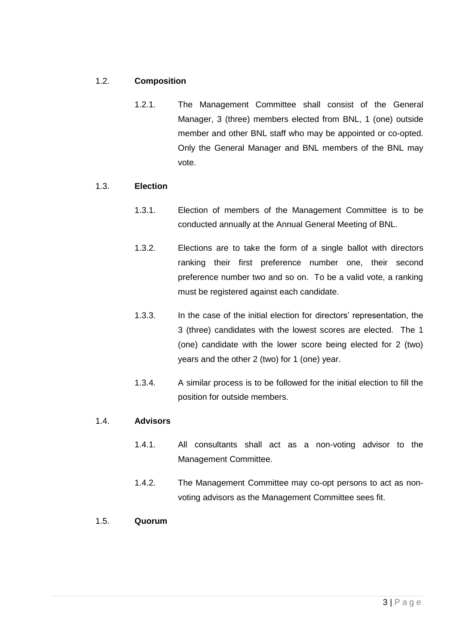# 1.2. **Composition**

1.2.1. The Management Committee shall consist of the General Manager, 3 (three) members elected from BNL, 1 (one) outside member and other BNL staff who may be appointed or co-opted. Only the General Manager and BNL members of the BNL may vote.

### 1.3. **Election**

- 1.3.1. Election of members of the Management Committee is to be conducted annually at the Annual General Meeting of BNL.
- 1.3.2. Elections are to take the form of a single ballot with directors ranking their first preference number one, their second preference number two and so on. To be a valid vote, a ranking must be registered against each candidate.
- 1.3.3. In the case of the initial election for directors' representation, the 3 (three) candidates with the lowest scores are elected. The 1 (one) candidate with the lower score being elected for 2 (two) years and the other 2 (two) for 1 (one) year.
- 1.3.4. A similar process is to be followed for the initial election to fill the position for outside members.

### 1.4. **Advisors**

- 1.4.1. All consultants shall act as a non-voting advisor to the Management Committee.
- 1.4.2. The Management Committee may co-opt persons to act as nonvoting advisors as the Management Committee sees fit.

### 1.5. **Quorum**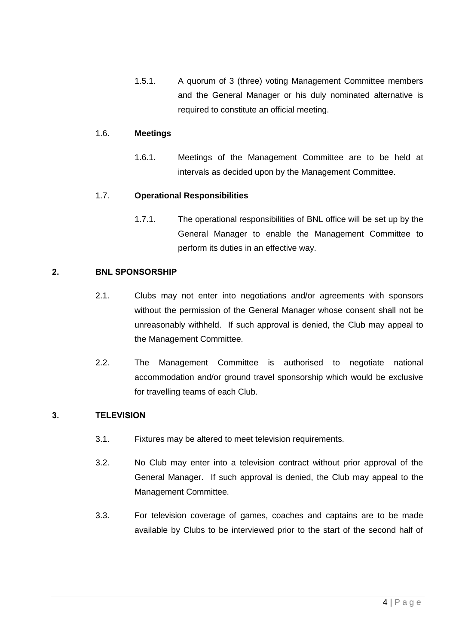1.5.1. A quorum of 3 (three) voting Management Committee members and the General Manager or his duly nominated alternative is required to constitute an official meeting.

## 1.6. **Meetings**

1.6.1. Meetings of the Management Committee are to be held at intervals as decided upon by the Management Committee.

## 1.7. **Operational Responsibilities**

1.7.1. The operational responsibilities of BNL office will be set up by the General Manager to enable the Management Committee to perform its duties in an effective way.

## 2. BNL SPONSORSHIP

- 2.1. Clubs may not enter into negotiations and/or agreements with sponsors without the permission of the General Manager whose consent shall not be unreasonably withheld. If such approval is denied, the Club may appeal to the Management Committee.
- 2.2. The Management Committee is authorised to negotiate national accommodation and/or ground travel sponsorship which would be exclusive for travelling teams of each Club.

# <span id="page-3-0"></span>3. TELEVISION

- 3.1. Fixtures may be altered to meet television requirements.
- 3.2. No Club may enter into a television contract without prior approval of the General Manager. If such approval is denied, the Club may appeal to the Management Committee.
- 3.3. For television coverage of games, coaches and captains are to be made available by Clubs to be interviewed prior to the start of the second half of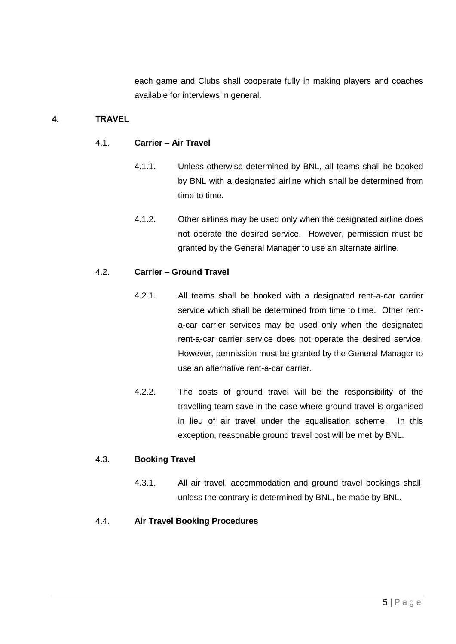each game and Clubs shall cooperate fully in making players and coaches available for interviews in general.

# 4. TRAVEL

### 4.1. **Carrier – Air Travel**

- 4.1.1. Unless otherwise determined by BNL, all teams shall be booked by BNL with a designated airline which shall be determined from time to time.
- 4.1.2. Other airlines may be used only when the designated airline does not operate the desired service. However, permission must be granted by the General Manager to use an alternate airline.

### 4.2. **Carrier – Ground Travel**

- 4.2.1. All teams shall be booked with a designated rent-a-car carrier service which shall be determined from time to time. Other renta-car carrier services may be used only when the designated rent-a-car carrier service does not operate the desired service. However, permission must be granted by the General Manager to use an alternative rent-a-car carrier.
- 4.2.2. The costs of ground travel will be the responsibility of the travelling team save in the case where ground travel is organised in lieu of air travel under the equalisation scheme. In this exception, reasonable ground travel cost will be met by BNL.

### 4.3. **Booking Travel**

4.3.1. All air travel, accommodation and ground travel bookings shall, unless the contrary is determined by BNL, be made by BNL.

# 4.4. **Air Travel Booking Procedures**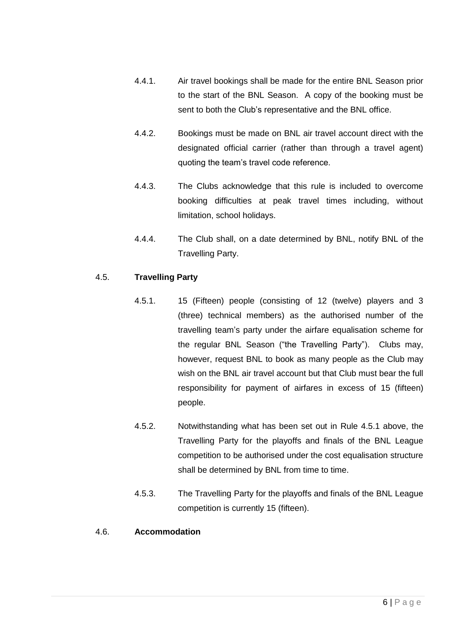- 4.4.1. Air travel bookings shall be made for the entire BNL Season prior to the start of the BNL Season. A copy of the booking must be sent to both the Club's representative and the BNL office.
- 4.4.2. Bookings must be made on BNL air travel account direct with the designated official carrier (rather than through a travel agent) quoting the team's travel code reference.
- 4.4.3. The Clubs acknowledge that this rule is included to overcome booking difficulties at peak travel times including, without limitation, school holidays.
- 4.4.4. The Club shall, on a date determined by BNL, notify BNL of the Travelling Party.

# <span id="page-5-0"></span>4.5. **Travelling Party**

- 4.5.1. 15 (Fifteen) people (consisting of 12 (twelve) players and 3 (three) technical members) as the authorised number of the travelling team's party under the airfare equalisation scheme for the regular BNL Season ("the Travelling Party"). Clubs may, however, request BNL to book as many people as the Club may wish on the BNL air travel account but that Club must bear the full responsibility for payment of airfares in excess of 15 (fifteen) people.
- 4.5.2. Notwithstanding what has been set out in Rule [4.5.1](#page-5-0) above, the Travelling Party for the playoffs and finals of the BNL League competition to be authorised under the cost equalisation structure shall be determined by BNL from time to time.
- 4.5.3. The Travelling Party for the playoffs and finals of the BNL League competition is currently 15 (fifteen).

### 4.6. **Accommodation**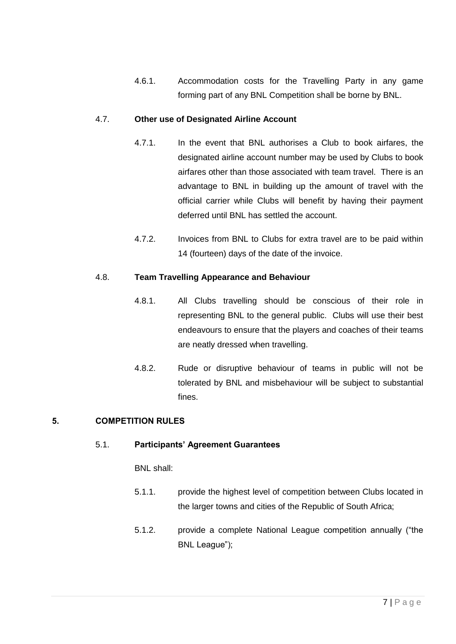4.6.1. Accommodation costs for the Travelling Party in any game forming part of any BNL Competition shall be borne by BNL.

# 4.7. **Other use of Designated Airline Account**

- 4.7.1. In the event that BNL authorises a Club to book airfares, the designated airline account number may be used by Clubs to book airfares other than those associated with team travel. There is an advantage to BNL in building up the amount of travel with the official carrier while Clubs will benefit by having their payment deferred until BNL has settled the account.
- 4.7.2. Invoices from BNL to Clubs for extra travel are to be paid within 14 (fourteen) days of the date of the invoice.

# 4.8. **Team Travelling Appearance and Behaviour**

- 4.8.1. All Clubs travelling should be conscious of their role in representing BNL to the general public. Clubs will use their best endeavours to ensure that the players and coaches of their teams are neatly dressed when travelling.
- 4.8.2. Rude or disruptive behaviour of teams in public will not be tolerated by BNL and misbehaviour will be subject to substantial fines.

# 5. COMPETITION RULES

# 5.1. **Participants' Agreement Guarantees**

BNL shall:

- 5.1.1. provide the highest level of competition between Clubs located in the larger towns and cities of the Republic of South Africa;
- 5.1.2. provide a complete National League competition annually ("the BNL League");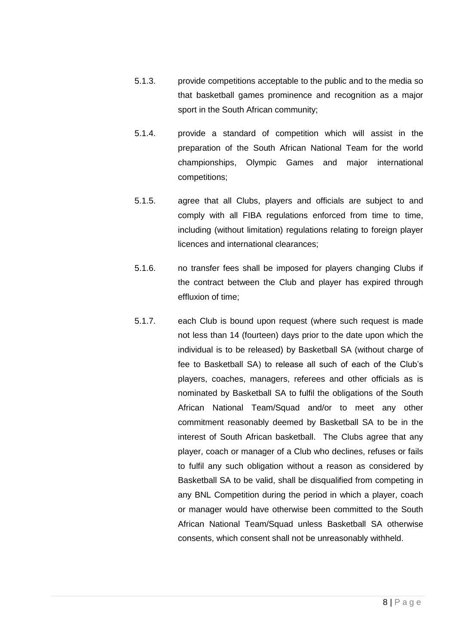- 5.1.3. provide competitions acceptable to the public and to the media so that basketball games prominence and recognition as a major sport in the South African community;
- 5.1.4. provide a standard of competition which will assist in the preparation of the South African National Team for the world championships, Olympic Games and major international competitions;
- 5.1.5. agree that all Clubs, players and officials are subject to and comply with all FIBA regulations enforced from time to time, including (without limitation) regulations relating to foreign player licences and international clearances;
- 5.1.6. no transfer fees shall be imposed for players changing Clubs if the contract between the Club and player has expired through effluxion of time;
- 5.1.7. each Club is bound upon request (where such request is made not less than 14 (fourteen) days prior to the date upon which the individual is to be released) by Basketball SA (without charge of fee to Basketball SA) to release all such of each of the Club's players, coaches, managers, referees and other officials as is nominated by Basketball SA to fulfil the obligations of the South African National Team/Squad and/or to meet any other commitment reasonably deemed by Basketball SA to be in the interest of South African basketball. The Clubs agree that any player, coach or manager of a Club who declines, refuses or fails to fulfil any such obligation without a reason as considered by Basketball SA to be valid, shall be disqualified from competing in any BNL Competition during the period in which a player, coach or manager would have otherwise been committed to the South African National Team/Squad unless Basketball SA otherwise consents, which consent shall not be unreasonably withheld.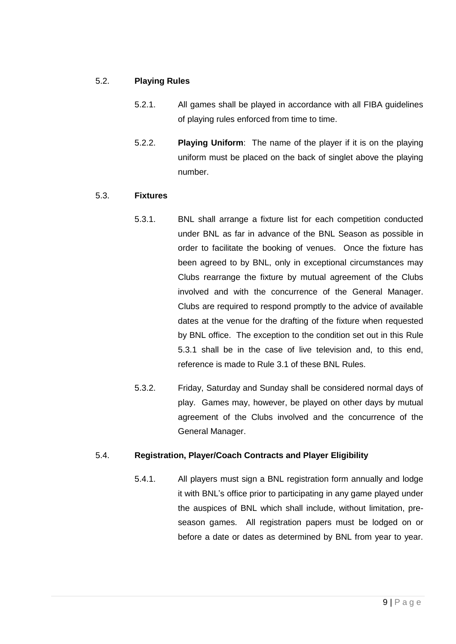## <span id="page-8-2"></span>5.2. **Playing Rules**

- 5.2.1. All games shall be played in accordance with all FIBA guidelines of playing rules enforced from time to time.
- 5.2.2. **Playing Uniform**: The name of the player if it is on the playing uniform must be placed on the back of singlet above the playing number.

## <span id="page-8-0"></span>5.3. **Fixtures**

- 5.3.1. BNL shall arrange a fixture list for each competition conducted under BNL as far in advance of the BNL Season as possible in order to facilitate the booking of venues. Once the fixture has been agreed to by BNL, only in exceptional circumstances may Clubs rearrange the fixture by mutual agreement of the Clubs involved and with the concurrence of the General Manager. Clubs are required to respond promptly to the advice of available dates at the venue for the drafting of the fixture when requested by BNL office. The exception to the condition set out in this Rule [5.3.1](#page-8-0) shall be in the case of live television and, to this end, reference is made to Rule [3.1](#page-3-0) of these BNL Rules.
- 5.3.2. Friday, Saturday and Sunday shall be considered normal days of play. Games may, however, be played on other days by mutual agreement of the Clubs involved and the concurrence of the General Manager.

# <span id="page-8-1"></span>5.4. **Registration, Player/Coach Contracts and Player Eligibility**

5.4.1. All players must sign a BNL registration form annually and lodge it with BNL's office prior to participating in any game played under the auspices of BNL which shall include, without limitation, preseason games. All registration papers must be lodged on or before a date or dates as determined by BNL from year to year.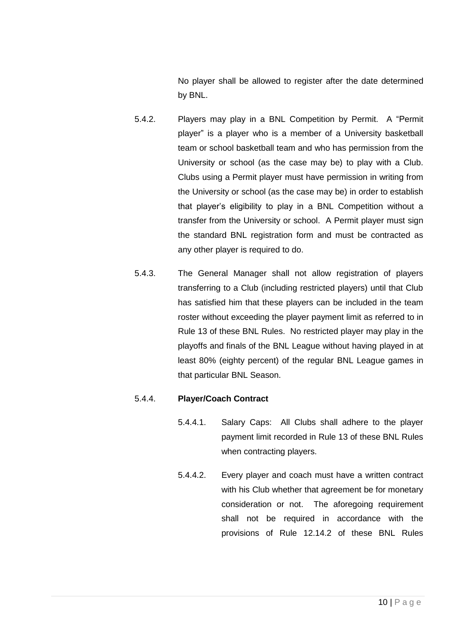No player shall be allowed to register after the date determined by BNL.

- 5.4.2. Players may play in a BNL Competition by Permit. A "Permit player" is a player who is a member of a University basketball team or school basketball team and who has permission from the University or school (as the case may be) to play with a Club. Clubs using a Permit player must have permission in writing from the University or school (as the case may be) in order to establish that player's eligibility to play in a BNL Competition without a transfer from the University or school. A Permit player must sign the standard BNL registration form and must be contracted as any other player is required to do.
- 5.4.3. The General Manager shall not allow registration of players transferring to a Club (including restricted players) until that Club has satisfied him that these players can be included in the team roster without exceeding the player payment limit as referred to in Rule [13](#page-55-0) of these BNL Rules. No restricted player may play in the playoffs and finals of the BNL League without having played in at least 80% (eighty percent) of the regular BNL League games in that particular BNL Season.

# 5.4.4. **Player/Coach Contract**

- 5.4.4.1. Salary Caps: All Clubs shall adhere to the player payment limit recorded in Rule [13](#page-55-0) of these BNL Rules when contracting players.
- 5.4.4.2. Every player and coach must have a written contract with his Club whether that agreement be for monetary consideration or not. The aforegoing requirement shall not be required in accordance with the provisions of Rule [12.14.2](#page-55-1) of these BNL Rules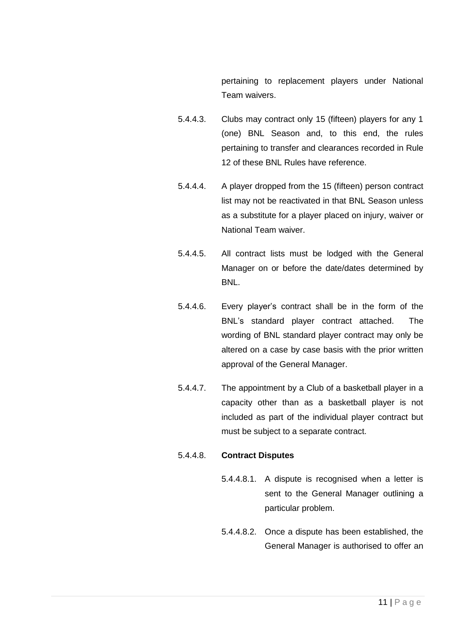pertaining to replacement players under National Team waivers.

- 5.4.4.3. Clubs may contract only 15 (fifteen) players for any 1 (one) BNL Season and, to this end, the rules pertaining to transfer and clearances recorded in Rule [12](#page-41-0) of these BNL Rules have reference.
- 5.4.4.4. A player dropped from the 15 (fifteen) person contract list may not be reactivated in that BNL Season unless as a substitute for a player placed on injury, waiver or National Team waiver.
- 5.4.4.5. All contract lists must be lodged with the General Manager on or before the date/dates determined by BNL.
- 5.4.4.6. Every player's contract shall be in the form of the BNL's standard player contract attached. The wording of BNL standard player contract may only be altered on a case by case basis with the prior written approval of the General Manager.
- 5.4.4.7. The appointment by a Club of a basketball player in a capacity other than as a basketball player is not included as part of the individual player contract but must be subject to a separate contract.

# 5.4.4.8. **Contract Disputes**

- 5.4.4.8.1. A dispute is recognised when a letter is sent to the General Manager outlining a particular problem.
- 5.4.4.8.2. Once a dispute has been established, the General Manager is authorised to offer an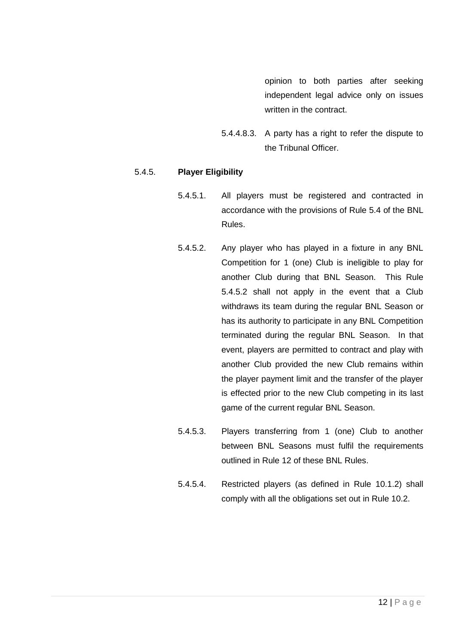opinion to both parties after seeking independent legal advice only on issues written in the contract.

5.4.4.8.3. A party has a right to refer the dispute to the Tribunal Officer.

## <span id="page-11-0"></span>5.4.5. **Player Eligibility**

- 5.4.5.1. All players must be registered and contracted in accordance with the provisions of Rule [5.4](#page-8-1) of the BNL Rules.
- 5.4.5.2. Any player who has played in a fixture in any BNL Competition for 1 (one) Club is ineligible to play for another Club during that BNL Season. This Rule [5.4.5.2](#page-11-0) shall not apply in the event that a Club withdraws its team during the regular BNL Season or has its authority to participate in any BNL Competition terminated during the regular BNL Season. In that event, players are permitted to contract and play with another Club provided the new Club remains within the player payment limit and the transfer of the player is effected prior to the new Club competing in its last game of the current regular BNL Season.
- 5.4.5.3. Players transferring from 1 (one) Club to another between BNL Seasons must fulfil the requirements outlined in Rule [12](#page-41-0) of these BNL Rules.
- 5.4.5.4. Restricted players (as defined in Rule [10.1.2\)](#page-32-0) shall comply with all the obligations set out in Rule 10.2.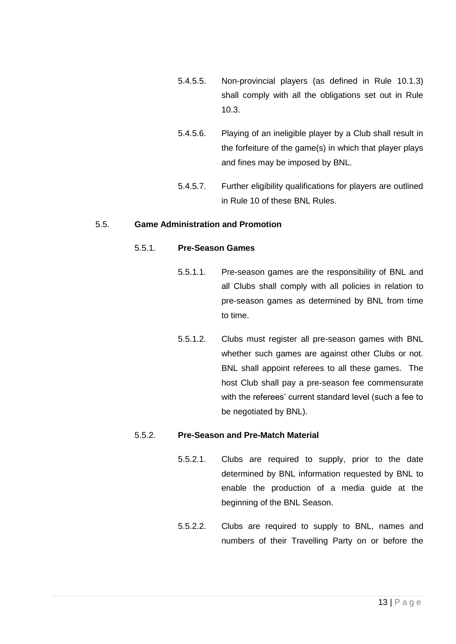- 5.4.5.5. Non-provincial players (as defined in Rule [10.1.3\)](#page-32-1) shall comply with all the obligations set out in Rule 10.3.
- 5.4.5.6. Playing of an ineligible player by a Club shall result in the forfeiture of the game(s) in which that player plays and fines may be imposed by BNL.
- 5.4.5.7. Further eligibility qualifications for players are outlined in Rule [10](#page-31-0) of these BNL Rules.

## 5.5. **Game Administration and Promotion**

## 5.5.1. **Pre-Season Games**

- 5.5.1.1. Pre-season games are the responsibility of BNL and all Clubs shall comply with all policies in relation to pre-season games as determined by BNL from time to time.
- 5.5.1.2. Clubs must register all pre-season games with BNL whether such games are against other Clubs or not. BNL shall appoint referees to all these games. The host Club shall pay a pre-season fee commensurate with the referees' current standard level (such a fee to be negotiated by BNL).

### 5.5.2. **Pre-Season and Pre-Match Material**

- 5.5.2.1. Clubs are required to supply, prior to the date determined by BNL information requested by BNL to enable the production of a media guide at the beginning of the BNL Season.
- 5.5.2.2. Clubs are required to supply to BNL, names and numbers of their Travelling Party on or before the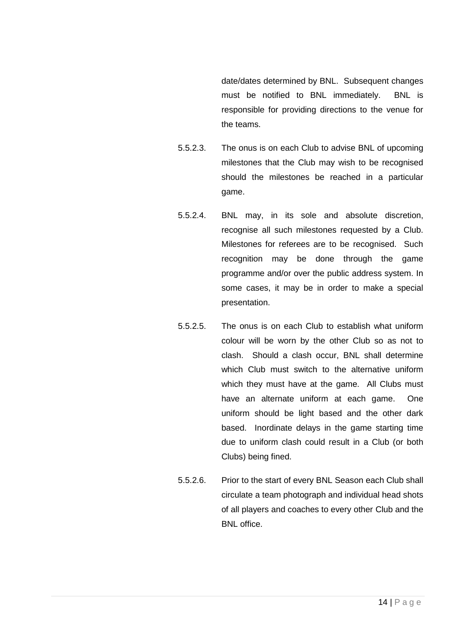date/dates determined by BNL. Subsequent changes must be notified to BNL immediately. BNL is responsible for providing directions to the venue for the teams.

- 5.5.2.3. The onus is on each Club to advise BNL of upcoming milestones that the Club may wish to be recognised should the milestones be reached in a particular game.
- 5.5.2.4. BNL may, in its sole and absolute discretion, recognise all such milestones requested by a Club. Milestones for referees are to be recognised. Such recognition may be done through the game programme and/or over the public address system. In some cases, it may be in order to make a special presentation.
- 5.5.2.5. The onus is on each Club to establish what uniform colour will be worn by the other Club so as not to clash. Should a clash occur, BNL shall determine which Club must switch to the alternative uniform which they must have at the game. All Clubs must have an alternate uniform at each game. One uniform should be light based and the other dark based. Inordinate delays in the game starting time due to uniform clash could result in a Club (or both Clubs) being fined.
- 5.5.2.6. Prior to the start of every BNL Season each Club shall circulate a team photograph and individual head shots of all players and coaches to every other Club and the BNL office.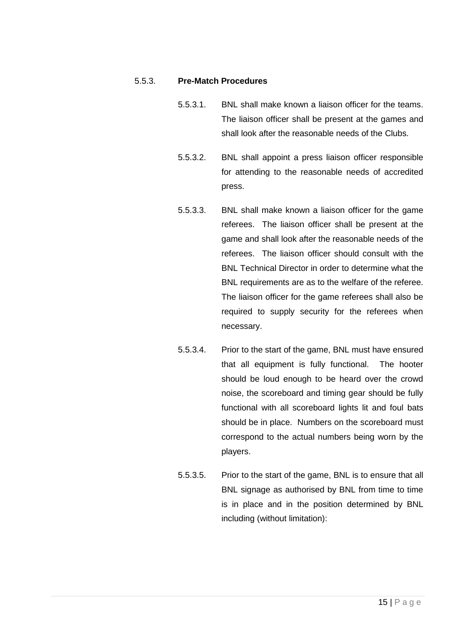### 5.5.3. **Pre-Match Procedures**

- 5.5.3.1. BNL shall make known a liaison officer for the teams. The liaison officer shall be present at the games and shall look after the reasonable needs of the Clubs.
- 5.5.3.2. BNL shall appoint a press liaison officer responsible for attending to the reasonable needs of accredited press.
- 5.5.3.3. BNL shall make known a liaison officer for the game referees. The liaison officer shall be present at the game and shall look after the reasonable needs of the referees. The liaison officer should consult with the BNL Technical Director in order to determine what the BNL requirements are as to the welfare of the referee. The liaison officer for the game referees shall also be required to supply security for the referees when necessary.
- 5.5.3.4. Prior to the start of the game, BNL must have ensured that all equipment is fully functional. The hooter should be loud enough to be heard over the crowd noise, the scoreboard and timing gear should be fully functional with all scoreboard lights lit and foul bats should be in place. Numbers on the scoreboard must correspond to the actual numbers being worn by the players.
- 5.5.3.5. Prior to the start of the game, BNL is to ensure that all BNL signage as authorised by BNL from time to time is in place and in the position determined by BNL including (without limitation):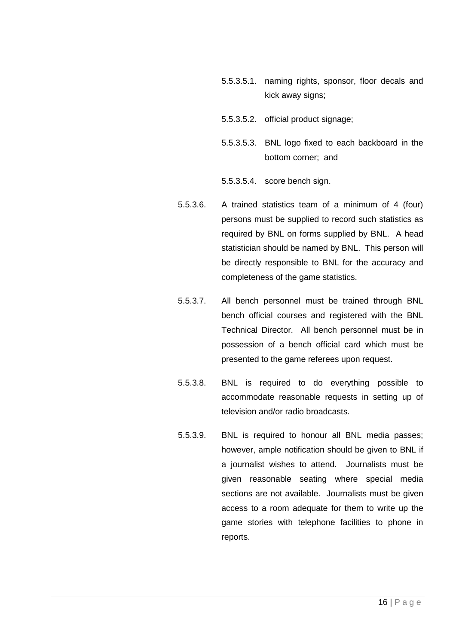- 5.5.3.5.1. naming rights, sponsor, floor decals and kick away signs;
- 5.5.3.5.2. official product signage;
- 5.5.3.5.3. BNL logo fixed to each backboard in the bottom corner; and
- 5.5.3.5.4. score bench sign.
- 5.5.3.6. A trained statistics team of a minimum of 4 (four) persons must be supplied to record such statistics as required by BNL on forms supplied by BNL. A head statistician should be named by BNL. This person will be directly responsible to BNL for the accuracy and completeness of the game statistics.
- 5.5.3.7. All bench personnel must be trained through BNL bench official courses and registered with the BNL Technical Director. All bench personnel must be in possession of a bench official card which must be presented to the game referees upon request.
- 5.5.3.8. BNL is required to do everything possible to accommodate reasonable requests in setting up of television and/or radio broadcasts.
- 5.5.3.9. BNL is required to honour all BNL media passes; however, ample notification should be given to BNL if a journalist wishes to attend. Journalists must be given reasonable seating where special media sections are not available. Journalists must be given access to a room adequate for them to write up the game stories with telephone facilities to phone in reports.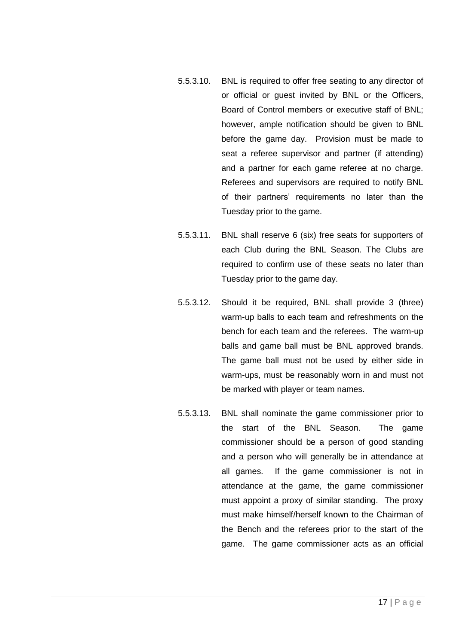- 5.5.3.10. BNL is required to offer free seating to any director of or official or guest invited by BNL or the Officers, Board of Control members or executive staff of BNL; however, ample notification should be given to BNL before the game day. Provision must be made to seat a referee supervisor and partner (if attending) and a partner for each game referee at no charge. Referees and supervisors are required to notify BNL of their partners' requirements no later than the Tuesday prior to the game.
- 5.5.3.11. BNL shall reserve 6 (six) free seats for supporters of each Club during the BNL Season. The Clubs are required to confirm use of these seats no later than Tuesday prior to the game day.
- 5.5.3.12. Should it be required, BNL shall provide 3 (three) warm-up balls to each team and refreshments on the bench for each team and the referees. The warm-up balls and game ball must be BNL approved brands. The game ball must not be used by either side in warm-ups, must be reasonably worn in and must not be marked with player or team names.
- 5.5.3.13. BNL shall nominate the game commissioner prior to the start of the BNL Season. The game commissioner should be a person of good standing and a person who will generally be in attendance at all games. If the game commissioner is not in attendance at the game, the game commissioner must appoint a proxy of similar standing. The proxy must make himself/herself known to the Chairman of the Bench and the referees prior to the start of the game. The game commissioner acts as an official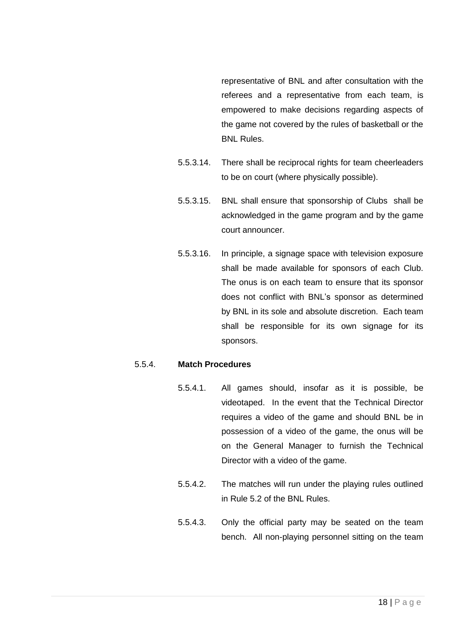representative of BNL and after consultation with the referees and a representative from each team, is empowered to make decisions regarding aspects of the game not covered by the rules of basketball or the BNL Rules.

- 5.5.3.14. There shall be reciprocal rights for team cheerleaders to be on court (where physically possible).
- 5.5.3.15. BNL shall ensure that sponsorship of Clubs shall be acknowledged in the game program and by the game court announcer.
- 5.5.3.16. In principle, a signage space with television exposure shall be made available for sponsors of each Club. The onus is on each team to ensure that its sponsor does not conflict with BNL's sponsor as determined by BNL in its sole and absolute discretion. Each team shall be responsible for its own signage for its sponsors.

#### 5.5.4. **Match Procedures**

- 5.5.4.1. All games should, insofar as it is possible, be videotaped. In the event that the Technical Director requires a video of the game and should BNL be in possession of a video of the game, the onus will be on the General Manager to furnish the Technical Director with a video of the game.
- 5.5.4.2. The matches will run under the playing rules outlined in Rule [5.2](#page-8-2) of the BNL Rules.
- 5.5.4.3. Only the official party may be seated on the team bench. All non-playing personnel sitting on the team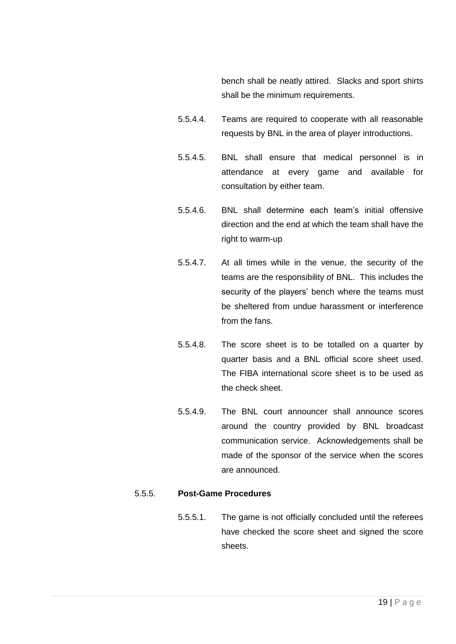bench shall be neatly attired. Slacks and sport shirts shall be the minimum requirements.

- 5.5.4.4. Teams are required to cooperate with all reasonable requests by BNL in the area of player introductions.
- 5.5.4.5. BNL shall ensure that medical personnel is in attendance at every game and available for consultation by either team.
- 5.5.4.6. BNL shall determine each team's initial offensive direction and the end at which the team shall have the right to warm-up
- 5.5.4.7. At all times while in the venue, the security of the teams are the responsibility of BNL. This includes the security of the players' bench where the teams must be sheltered from undue harassment or interference from the fans.
- 5.5.4.8. The score sheet is to be totalled on a quarter by quarter basis and a BNL official score sheet used. The FIBA international score sheet is to be used as the check sheet.
- 5.5.4.9. The BNL court announcer shall announce scores around the country provided by BNL broadcast communication service. Acknowledgements shall be made of the sponsor of the service when the scores are announced.

## <span id="page-18-0"></span>5.5.5. **Post-Game Procedures**

5.5.5.1. The game is not officially concluded until the referees have checked the score sheet and signed the score sheets.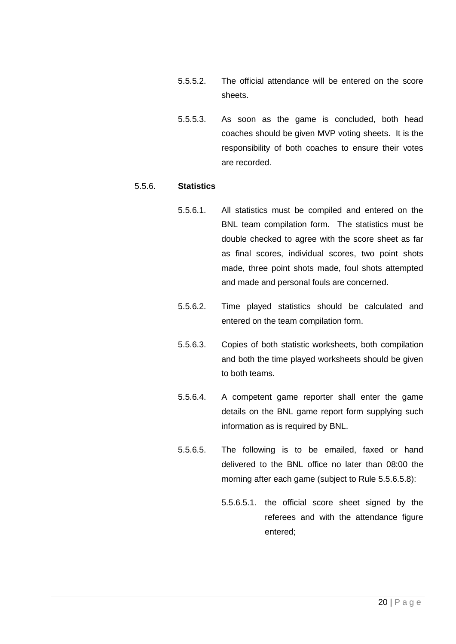- 5.5.5.2. The official attendance will be entered on the score sheets.
- 5.5.5.3. As soon as the game is concluded, both head coaches should be given MVP voting sheets. It is the responsibility of both coaches to ensure their votes are recorded.

#### <span id="page-19-1"></span>5.5.6. **Statistics**

- 5.5.6.1. All statistics must be compiled and entered on the BNL team compilation form. The statistics must be double checked to agree with the score sheet as far as final scores, individual scores, two point shots made, three point shots made, foul shots attempted and made and personal fouls are concerned.
- 5.5.6.2. Time played statistics should be calculated and entered on the team compilation form.
- 5.5.6.3. Copies of both statistic worksheets, both compilation and both the time played worksheets should be given to both teams.
- 5.5.6.4. A competent game reporter shall enter the game details on the BNL game report form supplying such information as is required by BNL.
- <span id="page-19-0"></span>5.5.6.5. The following is to be emailed, faxed or hand delivered to the BNL office no later than 08:00 the morning after each game (subject to Rule [5.5.6.5.8\)](#page-20-0):
	- 5.5.6.5.1. the official score sheet signed by the referees and with the attendance figure entered;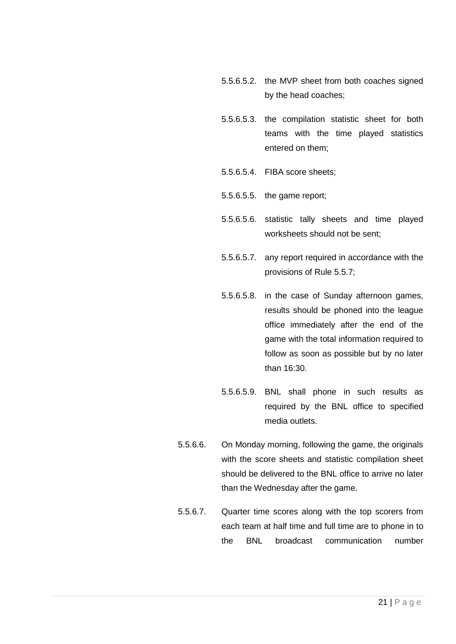- 5.5.6.5.2. the MVP sheet from both coaches signed by the head coaches;
- 5.5.6.5.3. the compilation statistic sheet for both teams with the time played statistics entered on them;
- 5.5.6.5.4. FIBA score sheets;
- 5.5.6.5.5. the game report;
- 5.5.6.5.6. statistic tally sheets and time played worksheets should not be sent;
- 5.5.6.5.7. any report required in accordance with the provisions of Rule [5.5.7;](#page-21-0)
- <span id="page-20-0"></span>5.5.6.5.8. in the case of Sunday afternoon games, results should be phoned into the league office immediately after the end of the game with the total information required to follow as soon as possible but by no later than 16:30.
- 5.5.6.5.9. BNL shall phone in such results as required by the BNL office to specified media outlets.
- 5.5.6.6. On Monday morning, following the game, the originals with the score sheets and statistic compilation sheet should be delivered to the BNL office to arrive no later than the Wednesday after the game.
- 5.5.6.7. Quarter time scores along with the top scorers from each team at half time and full time are to phone in to the BNL broadcast communication number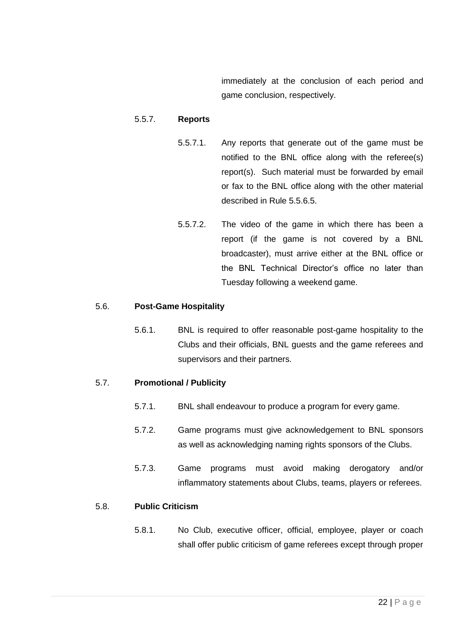immediately at the conclusion of each period and game conclusion, respectively.

## <span id="page-21-0"></span>5.5.7. **Reports**

- 5.5.7.1. Any reports that generate out of the game must be notified to the BNL office along with the referee(s) report(s). Such material must be forwarded by email or fax to the BNL office along with the other material described in Rule [5.5.6.5.](#page-19-0)
- 5.5.7.2. The video of the game in which there has been a report (if the game is not covered by a BNL broadcaster), must arrive either at the BNL office or the BNL Technical Director's office no later than Tuesday following a weekend game.

### 5.6. **Post-Game Hospitality**

5.6.1. BNL is required to offer reasonable post-game hospitality to the Clubs and their officials, BNL guests and the game referees and supervisors and their partners.

# 5.7. **Promotional / Publicity**

- 5.7.1. BNL shall endeavour to produce a program for every game.
- 5.7.2. Game programs must give acknowledgement to BNL sponsors as well as acknowledging naming rights sponsors of the Clubs.
- 5.7.3. Game programs must avoid making derogatory and/or inflammatory statements about Clubs, teams, players or referees.

# <span id="page-21-1"></span>5.8. **Public Criticism**

5.8.1. No Club, executive officer, official, employee, player or coach shall offer public criticism of game referees except through proper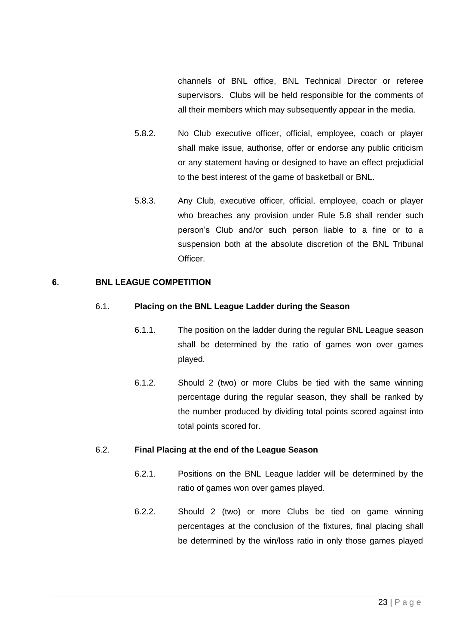channels of BNL office, BNL Technical Director or referee supervisors. Clubs will be held responsible for the comments of all their members which may subsequently appear in the media.

- 5.8.2. No Club executive officer, official, employee, coach or player shall make issue, authorise, offer or endorse any public criticism or any statement having or designed to have an effect prejudicial to the best interest of the game of basketball or BNL.
- 5.8.3. Any Club, executive officer, official, employee, coach or player who breaches any provision under Rule [5.8](#page-21-1) shall render such person's Club and/or such person liable to a fine or to a suspension both at the absolute discretion of the BNL Tribunal Officer.

#### <span id="page-22-0"></span>6. BNL LEAGUE COMPETITION

#### 6.1. **Placing on the BNL League Ladder during the Season**

- 6.1.1. The position on the ladder during the regular BNL League season shall be determined by the ratio of games won over games played.
- 6.1.2. Should 2 (two) or more Clubs be tied with the same winning percentage during the regular season, they shall be ranked by the number produced by dividing total points scored against into total points scored for.

### 6.2. **Final Placing at the end of the League Season**

- 6.2.1. Positions on the BNL League ladder will be determined by the ratio of games won over games played.
- 6.2.2. Should 2 (two) or more Clubs be tied on game winning percentages at the conclusion of the fixtures, final placing shall be determined by the win/loss ratio in only those games played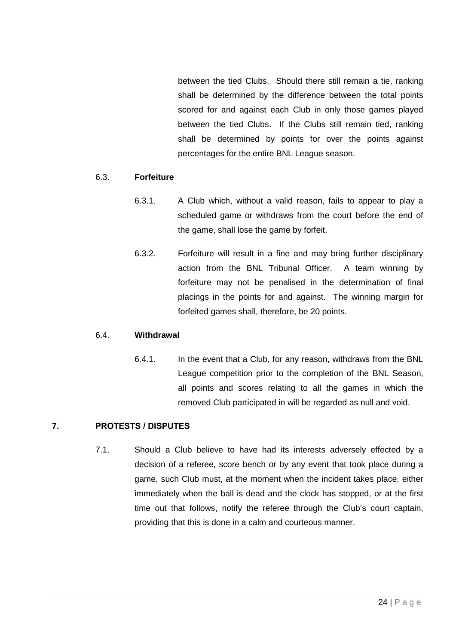between the tied Clubs. Should there still remain a tie, ranking shall be determined by the difference between the total points scored for and against each Club in only those games played between the tied Clubs. If the Clubs still remain tied, ranking shall be determined by points for over the points against percentages for the entire BNL League season.

### 6.3. **Forfeiture**

- 6.3.1. A Club which, without a valid reason, fails to appear to play a scheduled game or withdraws from the court before the end of the game, shall lose the game by forfeit.
- 6.3.2. Forfeiture will result in a fine and may bring further disciplinary action from the BNL Tribunal Officer. A team winning by forfeiture may not be penalised in the determination of final placings in the points for and against. The winning margin for forfeited games shall, therefore, be 20 points.

### 6.4. **Withdrawal**

6.4.1. In the event that a Club, for any reason, withdraws from the BNL League competition prior to the completion of the BNL Season, all points and scores relating to all the games in which the removed Club participated in will be regarded as null and void.

### <span id="page-23-0"></span>7. PROTESTS / DISPUTES

7.1. Should a Club believe to have had its interests adversely effected by a decision of a referee, score bench or by any event that took place during a game, such Club must, at the moment when the incident takes place, either immediately when the ball is dead and the clock has stopped, or at the first time out that follows, notify the referee through the Club's court captain, providing that this is done in a calm and courteous manner.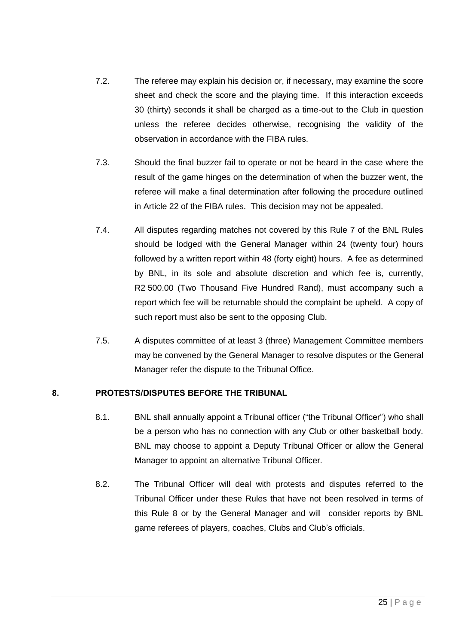- 7.2. The referee may explain his decision or, if necessary, may examine the score sheet and check the score and the playing time. If this interaction exceeds 30 (thirty) seconds it shall be charged as a time-out to the Club in question unless the referee decides otherwise, recognising the validity of the observation in accordance with the FIBA rules.
- 7.3. Should the final buzzer fail to operate or not be heard in the case where the result of the game hinges on the determination of when the buzzer went, the referee will make a final determination after following the procedure outlined in Article 22 of the FIBA rules. This decision may not be appealed.
- 7.4. All disputes regarding matches not covered by this Rule [7](#page-23-0) of the BNL Rules should be lodged with the General Manager within 24 (twenty four) hours followed by a written report within 48 (forty eight) hours. A fee as determined by BNL, in its sole and absolute discretion and which fee is, currently, R2 500.00 (Two Thousand Five Hundred Rand), must accompany such a report which fee will be returnable should the complaint be upheld. A copy of such report must also be sent to the opposing Club.
- 7.5. A disputes committee of at least 3 (three) Management Committee members may be convened by the General Manager to resolve disputes or the General Manager refer the dispute to the Tribunal Office.

# <span id="page-24-1"></span>8. PROTESTS/DISPUTES BEFORE THE TRIBUNAL

- 8.1. BNL shall annually appoint a Tribunal officer ("the Tribunal Officer") who shall be a person who has no connection with any Club or other basketball body. BNL may choose to appoint a Deputy Tribunal Officer or allow the General Manager to appoint an alternative Tribunal Officer.
- <span id="page-24-0"></span>8.2. The Tribunal Officer will deal with protests and disputes referred to the Tribunal Officer under these Rules that have not been resolved in terms of this Rule 8 or by the General Manager and will consider reports by BNL game referees of players, coaches, Clubs and Club's officials.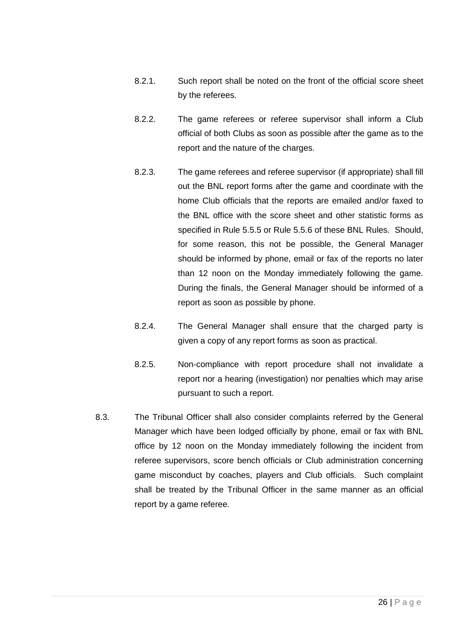- 8.2.1. Such report shall be noted on the front of the official score sheet by the referees.
- 8.2.2. The game referees or referee supervisor shall inform a Club official of both Clubs as soon as possible after the game as to the report and the nature of the charges.
- 8.2.3. The game referees and referee supervisor (if appropriate) shall fill out the BNL report forms after the game and coordinate with the home Club officials that the reports are emailed and/or faxed to the BNL office with the score sheet and other statistic forms as specified in Rule [5.5.5](#page-18-0) or Rule [5.5.6](#page-19-1) of these BNL Rules. Should, for some reason, this not be possible, the General Manager should be informed by phone, email or fax of the reports no later than 12 noon on the Monday immediately following the game. During the finals, the General Manager should be informed of a report as soon as possible by phone.
- 8.2.4. The General Manager shall ensure that the charged party is given a copy of any report forms as soon as practical.
- 8.2.5. Non-compliance with report procedure shall not invalidate a report nor a hearing (investigation) nor penalties which may arise pursuant to such a report.
- <span id="page-25-0"></span>8.3. The Tribunal Officer shall also consider complaints referred by the General Manager which have been lodged officially by phone, email or fax with BNL office by 12 noon on the Monday immediately following the incident from referee supervisors, score bench officials or Club administration concerning game misconduct by coaches, players and Club officials. Such complaint shall be treated by the Tribunal Officer in the same manner as an official report by a game referee.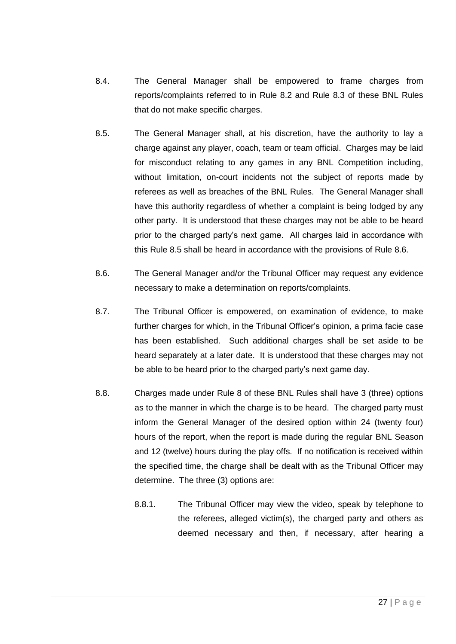- 8.4. The General Manager shall be empowered to frame charges from reports/complaints referred to in Rule [8.2](#page-24-0) and Rule [8.3](#page-25-0) of these BNL Rules that do not make specific charges.
- <span id="page-26-0"></span>8.5. The General Manager shall, at his discretion, have the authority to lay a charge against any player, coach, team or team official. Charges may be laid for misconduct relating to any games in any BNL Competition including, without limitation, on-court incidents not the subject of reports made by referees as well as breaches of the BNL Rules. The General Manager shall have this authority regardless of whether a complaint is being lodged by any other party. It is understood that these charges may not be able to be heard prior to the charged party's next game. All charges laid in accordance with this Rule [8.5](#page-26-0) shall be heard in accordance with the provisions of Rule [8.6.](#page-26-1)
- <span id="page-26-1"></span>8.6. The General Manager and/or the Tribunal Officer may request any evidence necessary to make a determination on reports/complaints.
- 8.7. The Tribunal Officer is empowered, on examination of evidence, to make further charges for which, in the Tribunal Officer's opinion, a prima facie case has been established. Such additional charges shall be set aside to be heard separately at a later date. It is understood that these charges may not be able to be heard prior to the charged party's next game day.
- 8.8. Charges made under Rule [8](#page-24-1) of these BNL Rules shall have 3 (three) options as to the manner in which the charge is to be heard. The charged party must inform the General Manager of the desired option within 24 (twenty four) hours of the report, when the report is made during the regular BNL Season and 12 (twelve) hours during the play offs. If no notification is received within the specified time, the charge shall be dealt with as the Tribunal Officer may determine. The three (3) options are:
	- 8.8.1. The Tribunal Officer may view the video, speak by telephone to the referees, alleged victim(s), the charged party and others as deemed necessary and then, if necessary, after hearing a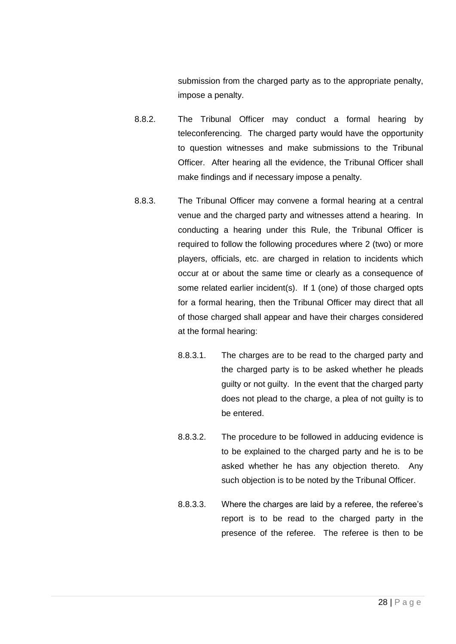submission from the charged party as to the appropriate penalty, impose a penalty.

- <span id="page-27-1"></span>8.8.2. The Tribunal Officer may conduct a formal hearing by teleconferencing. The charged party would have the opportunity to question witnesses and make submissions to the Tribunal Officer. After hearing all the evidence, the Tribunal Officer shall make findings and if necessary impose a penalty.
- <span id="page-27-2"></span><span id="page-27-0"></span>8.8.3. The Tribunal Officer may convene a formal hearing at a central venue and the charged party and witnesses attend a hearing. In conducting a hearing under this Rule, the Tribunal Officer is required to follow the following procedures where 2 (two) or more players, officials, etc. are charged in relation to incidents which occur at or about the same time or clearly as a consequence of some related earlier incident(s). If 1 (one) of those charged opts for a formal hearing, then the Tribunal Officer may direct that all of those charged shall appear and have their charges considered at the formal hearing:
	- 8.8.3.1. The charges are to be read to the charged party and the charged party is to be asked whether he pleads guilty or not guilty. In the event that the charged party does not plead to the charge, a plea of not guilty is to be entered.
	- 8.8.3.2. The procedure to be followed in adducing evidence is to be explained to the charged party and he is to be asked whether he has any objection thereto. Any such objection is to be noted by the Tribunal Officer.
	- 8.8.3.3. Where the charges are laid by a referee, the referee's report is to be read to the charged party in the presence of the referee. The referee is then to be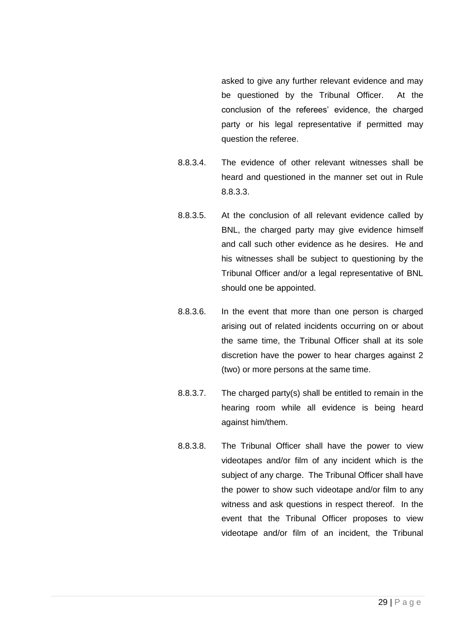asked to give any further relevant evidence and may be questioned by the Tribunal Officer. At the conclusion of the referees' evidence, the charged party or his legal representative if permitted may question the referee.

- 8.8.3.4. The evidence of other relevant witnesses shall be heard and questioned in the manner set out in Rule [8.8.3.3.](#page-27-0)
- 8.8.3.5. At the conclusion of all relevant evidence called by BNL, the charged party may give evidence himself and call such other evidence as he desires. He and his witnesses shall be subject to questioning by the Tribunal Officer and/or a legal representative of BNL should one be appointed.
- 8.8.3.6. In the event that more than one person is charged arising out of related incidents occurring on or about the same time, the Tribunal Officer shall at its sole discretion have the power to hear charges against 2 (two) or more persons at the same time.
- 8.8.3.7. The charged party(s) shall be entitled to remain in the hearing room while all evidence is being heard against him/them.
- 8.8.3.8. The Tribunal Officer shall have the power to view videotapes and/or film of any incident which is the subject of any charge. The Tribunal Officer shall have the power to show such videotape and/or film to any witness and ask questions in respect thereof. In the event that the Tribunal Officer proposes to view videotape and/or film of an incident, the Tribunal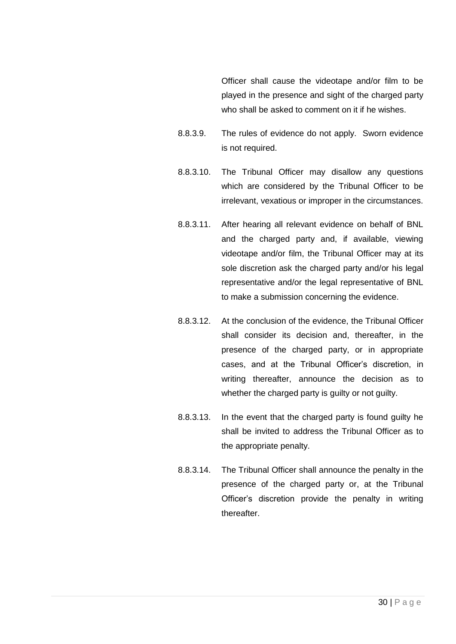Officer shall cause the videotape and/or film to be played in the presence and sight of the charged party who shall be asked to comment on it if he wishes.

- 8.8.3.9. The rules of evidence do not apply. Sworn evidence is not required.
- 8.8.3.10. The Tribunal Officer may disallow any questions which are considered by the Tribunal Officer to be irrelevant, vexatious or improper in the circumstances.
- 8.8.3.11. After hearing all relevant evidence on behalf of BNL and the charged party and, if available, viewing videotape and/or film, the Tribunal Officer may at its sole discretion ask the charged party and/or his legal representative and/or the legal representative of BNL to make a submission concerning the evidence.
- 8.8.3.12. At the conclusion of the evidence, the Tribunal Officer shall consider its decision and, thereafter, in the presence of the charged party, or in appropriate cases, and at the Tribunal Officer's discretion, in writing thereafter, announce the decision as to whether the charged party is guilty or not guilty.
- 8.8.3.13. In the event that the charged party is found guilty he shall be invited to address the Tribunal Officer as to the appropriate penalty.
- 8.8.3.14. The Tribunal Officer shall announce the penalty in the presence of the charged party or, at the Tribunal Officer's discretion provide the penalty in writing thereafter.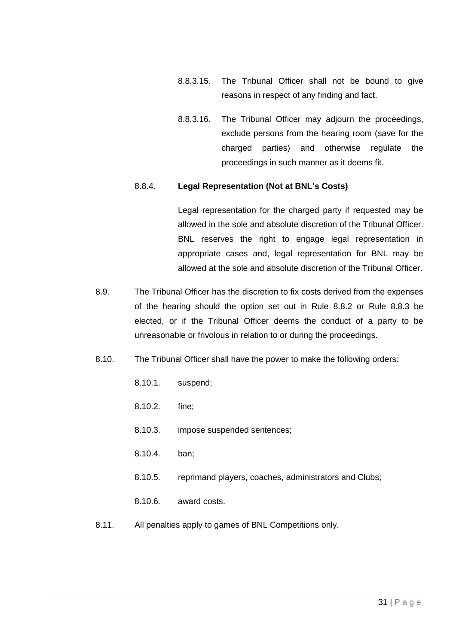- 8.8.3.15. The Tribunal Officer shall not be bound to give reasons in respect of any finding and fact.
- 8.8.3.16. The Tribunal Officer may adjourn the proceedings, exclude persons from the hearing room (save for the charged parties) and otherwise regulate the proceedings in such manner as it deems fit.

#### 8.8.4. **Legal Representation (Not at BNL's Costs)**

Legal representation for the charged party if requested may be allowed in the sole and absolute discretion of the Tribunal Officer. BNL reserves the right to engage legal representation in appropriate cases and, legal representation for BNL may be allowed at the sole and absolute discretion of the Tribunal Officer.

- 8.9. The Tribunal Officer has the discretion to fix costs derived from the expenses of the hearing should the option set out in Rule [8.8.2](#page-27-1) or Rule [8.8.3](#page-27-2) be elected, or if the Tribunal Officer deems the conduct of a party to be unreasonable or frivolous in relation to or during the proceedings.
- 8.10. The Tribunal Officer shall have the power to make the following orders:
	- 8.10.1. suspend;
	- 8.10.2. fine;
	- 8.10.3. impose suspended sentences;
	- 8.10.4. ban;
	- 8.10.5. reprimand players, coaches, administrators and Clubs;
	- 8.10.6. award costs.
- 8.11. All penalties apply to games of BNL Competitions only.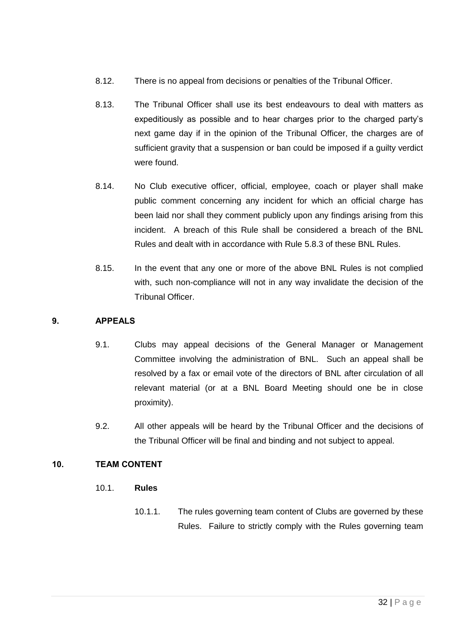- 8.12. There is no appeal from decisions or penalties of the Tribunal Officer.
- 8.13. The Tribunal Officer shall use its best endeavours to deal with matters as expeditiously as possible and to hear charges prior to the charged party's next game day if in the opinion of the Tribunal Officer, the charges are of sufficient gravity that a suspension or ban could be imposed if a guilty verdict were found.
- 8.14. No Club executive officer, official, employee, coach or player shall make public comment concerning any incident for which an official charge has been laid nor shall they comment publicly upon any findings arising from this incident. A breach of this Rule shall be considered a breach of the BNL Rules and dealt with in accordance with Rule [5.8.3](#page-22-0) of these BNL Rules.
- 8.15. In the event that any one or more of the above BNL Rules is not complied with, such non-compliance will not in any way invalidate the decision of the Tribunal Officer.

## 9. APPEALS

- 9.1. Clubs may appeal decisions of the General Manager or Management Committee involving the administration of BNL. Such an appeal shall be resolved by a fax or email vote of the directors of BNL after circulation of all relevant material (or at a BNL Board Meeting should one be in close proximity).
- 9.2. All other appeals will be heard by the Tribunal Officer and the decisions of the Tribunal Officer will be final and binding and not subject to appeal.

# <span id="page-31-0"></span>10. TEAM CONTENT

- 10.1. **Rules**
	- 10.1.1. The rules governing team content of Clubs are governed by these Rules. Failure to strictly comply with the Rules governing team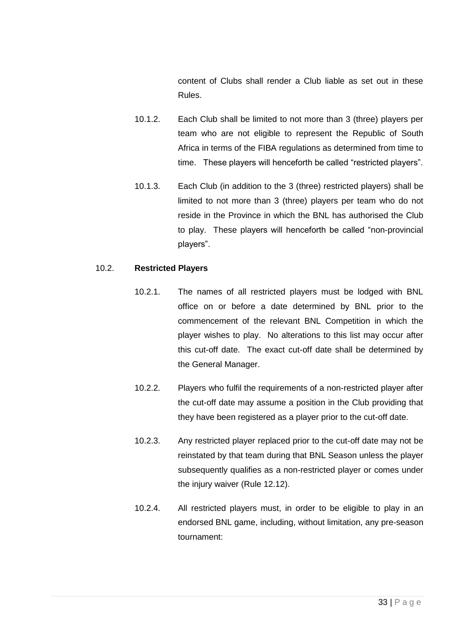content of Clubs shall render a Club liable as set out in these Rules.

- <span id="page-32-0"></span>10.1.2. Each Club shall be limited to not more than 3 (three) players per team who are not eligible to represent the Republic of South Africa in terms of the FIBA regulations as determined from time to time. These players will henceforth be called "restricted players".
- <span id="page-32-1"></span>10.1.3. Each Club (in addition to the 3 (three) restricted players) shall be limited to not more than 3 (three) players per team who do not reside in the Province in which the BNL has authorised the Club to play. These players will henceforth be called "non-provincial players".

### 10.2. **Restricted Players**

- 10.2.1. The names of all restricted players must be lodged with BNL office on or before a date determined by BNL prior to the commencement of the relevant BNL Competition in which the player wishes to play. No alterations to this list may occur after this cut-off date. The exact cut-off date shall be determined by the General Manager.
- 10.2.2. Players who fulfil the requirements of a non-restricted player after the cut-off date may assume a position in the Club providing that they have been registered as a player prior to the cut-off date.
- 10.2.3. Any restricted player replaced prior to the cut-off date may not be reinstated by that team during that BNL Season unless the player subsequently qualifies as a non-restricted player or comes under the injury waiver (Rule [12.12\)](#page-52-0).
- 10.2.4. All restricted players must, in order to be eligible to play in an endorsed BNL game, including, without limitation, any pre-season tournament: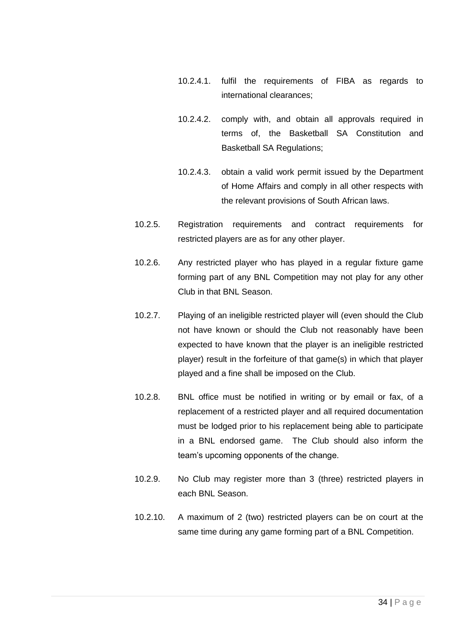- 10.2.4.1. fulfil the requirements of FIBA as regards to international clearances;
- 10.2.4.2. comply with, and obtain all approvals required in terms of, the Basketball SA Constitution and Basketball SA Regulations;
- 10.2.4.3. obtain a valid work permit issued by the Department of Home Affairs and comply in all other respects with the relevant provisions of South African laws.
- 10.2.5. Registration requirements and contract requirements for restricted players are as for any other player.
- 10.2.6. Any restricted player who has played in a regular fixture game forming part of any BNL Competition may not play for any other Club in that BNL Season.
- 10.2.7. Playing of an ineligible restricted player will (even should the Club not have known or should the Club not reasonably have been expected to have known that the player is an ineligible restricted player) result in the forfeiture of that game(s) in which that player played and a fine shall be imposed on the Club.
- 10.2.8. BNL office must be notified in writing or by email or fax, of a replacement of a restricted player and all required documentation must be lodged prior to his replacement being able to participate in a BNL endorsed game. The Club should also inform the team's upcoming opponents of the change.
- 10.2.9. No Club may register more than 3 (three) restricted players in each BNL Season.
- 10.2.10. A maximum of 2 (two) restricted players can be on court at the same time during any game forming part of a BNL Competition.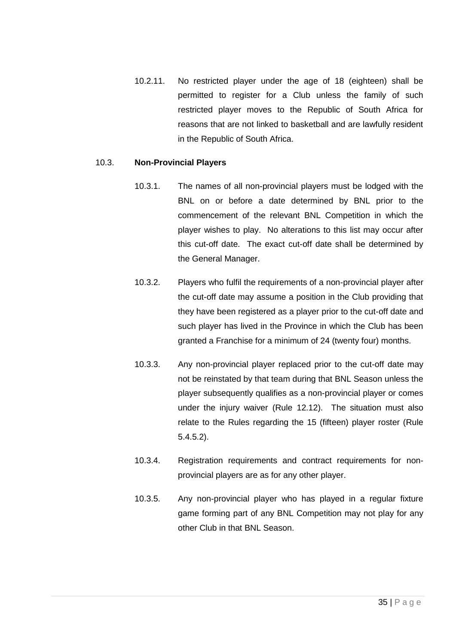10.2.11. No restricted player under the age of 18 (eighteen) shall be permitted to register for a Club unless the family of such restricted player moves to the Republic of South Africa for reasons that are not linked to basketball and are lawfully resident in the Republic of South Africa.

### <span id="page-34-0"></span>10.3. **Non-Provincial Players**

- 10.3.1. The names of all non-provincial players must be lodged with the BNL on or before a date determined by BNL prior to the commencement of the relevant BNL Competition in which the player wishes to play. No alterations to this list may occur after this cut-off date. The exact cut-off date shall be determined by the General Manager.
- 10.3.2. Players who fulfil the requirements of a non-provincial player after the cut-off date may assume a position in the Club providing that they have been registered as a player prior to the cut-off date and such player has lived in the Province in which the Club has been granted a Franchise for a minimum of 24 (twenty four) months.
- 10.3.3. Any non-provincial player replaced prior to the cut-off date may not be reinstated by that team during that BNL Season unless the player subsequently qualifies as a non-provincial player or comes under the injury waiver (Rule [12.12\)](#page-52-0). The situation must also relate to the Rules regarding the 15 (fifteen) player roster (Rule 5.4.5.2).
- 10.3.4. Registration requirements and contract requirements for nonprovincial players are as for any other player.
- 10.3.5. Any non-provincial player who has played in a regular fixture game forming part of any BNL Competition may not play for any other Club in that BNL Season.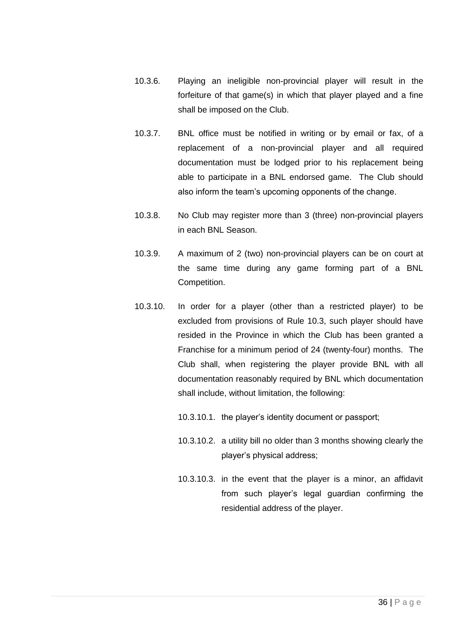- 10.3.6. Playing an ineligible non-provincial player will result in the forfeiture of that game(s) in which that player played and a fine shall be imposed on the Club.
- 10.3.7. BNL office must be notified in writing or by email or fax, of a replacement of a non-provincial player and all required documentation must be lodged prior to his replacement being able to participate in a BNL endorsed game. The Club should also inform the team's upcoming opponents of the change.
- 10.3.8. No Club may register more than 3 (three) non-provincial players in each BNL Season.
- 10.3.9. A maximum of 2 (two) non-provincial players can be on court at the same time during any game forming part of a BNL Competition.
- 10.3.10. In order for a player (other than a restricted player) to be excluded from provisions of Rule [10.3,](#page-34-0) such player should have resided in the Province in which the Club has been granted a Franchise for a minimum period of 24 (twenty-four) months. The Club shall, when registering the player provide BNL with all documentation reasonably required by BNL which documentation shall include, without limitation, the following:
	- 10.3.10.1. the player's identity document or passport;
	- 10.3.10.2. a utility bill no older than 3 months showing clearly the player's physical address;
	- 10.3.10.3. in the event that the player is a minor, an affidavit from such player's legal guardian confirming the residential address of the player.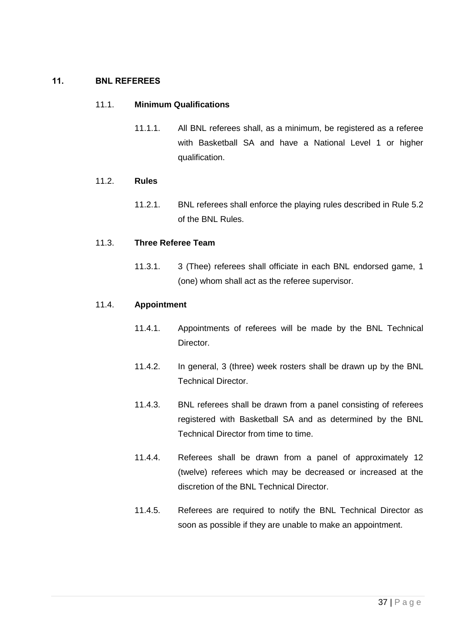## 11. BNL REFEREES

#### 11.1. **Minimum Qualifications**

11.1.1. All BNL referees shall, as a minimum, be registered as a referee with Basketball SA and have a National Level 1 or higher qualification.

#### 11.2. **Rules**

11.2.1. BNL referees shall enforce the playing rules described in Rule [5.2](#page-8-0) of the BNL Rules.

#### 11.3. **Three Referee Team**

11.3.1. 3 (Thee) referees shall officiate in each BNL endorsed game, 1 (one) whom shall act as the referee supervisor.

#### 11.4. **Appointment**

- 11.4.1. Appointments of referees will be made by the BNL Technical Director.
- 11.4.2. In general, 3 (three) week rosters shall be drawn up by the BNL Technical Director.
- 11.4.3. BNL referees shall be drawn from a panel consisting of referees registered with Basketball SA and as determined by the BNL Technical Director from time to time.
- 11.4.4. Referees shall be drawn from a panel of approximately 12 (twelve) referees which may be decreased or increased at the discretion of the BNL Technical Director.
- 11.4.5. Referees are required to notify the BNL Technical Director as soon as possible if they are unable to make an appointment.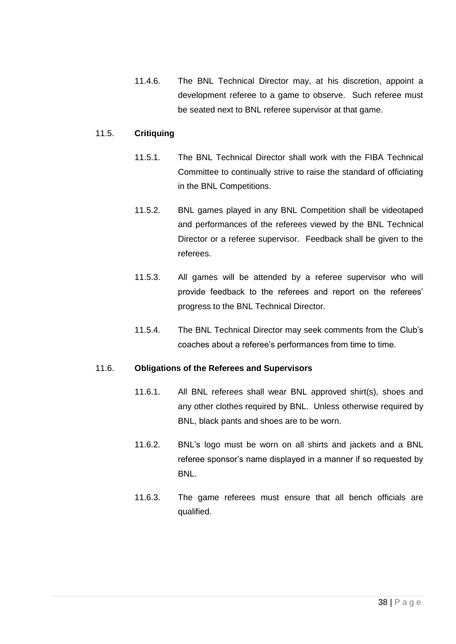11.4.6. The BNL Technical Director may, at his discretion, appoint a development referee to a game to observe. Such referee must be seated next to BNL referee supervisor at that game.

## 11.5. **Critiquing**

- 11.5.1. The BNL Technical Director shall work with the FIBA Technical Committee to continually strive to raise the standard of officiating in the BNL Competitions.
- 11.5.2. BNL games played in any BNL Competition shall be videotaped and performances of the referees viewed by the BNL Technical Director or a referee supervisor. Feedback shall be given to the referees.
- 11.5.3. All games will be attended by a referee supervisor who will provide feedback to the referees and report on the referees' progress to the BNL Technical Director.
- 11.5.4. The BNL Technical Director may seek comments from the Club's coaches about a referee's performances from time to time.

#### 11.6. **Obligations of the Referees and Supervisors**

- 11.6.1. All BNL referees shall wear BNL approved shirt(s), shoes and any other clothes required by BNL. Unless otherwise required by BNL, black pants and shoes are to be worn.
- 11.6.2. BNL's logo must be worn on all shirts and jackets and a BNL referee sponsor's name displayed in a manner if so requested by BNL.
- 11.6.3. The game referees must ensure that all bench officials are qualified.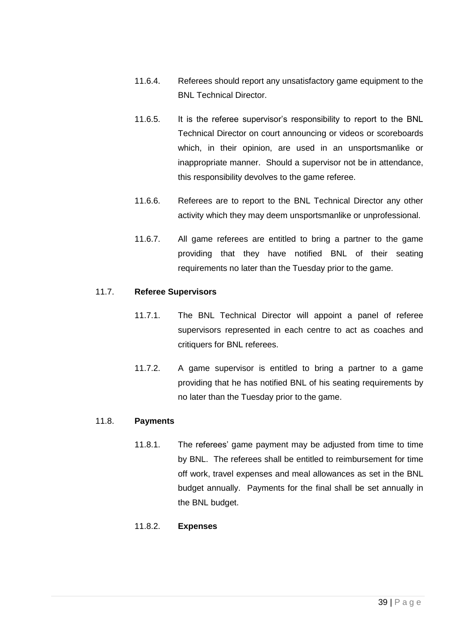- 11.6.4. Referees should report any unsatisfactory game equipment to the BNL Technical Director.
- 11.6.5. It is the referee supervisor's responsibility to report to the BNL Technical Director on court announcing or videos or scoreboards which, in their opinion, are used in an unsportsmanlike or inappropriate manner. Should a supervisor not be in attendance, this responsibility devolves to the game referee.
- 11.6.6. Referees are to report to the BNL Technical Director any other activity which they may deem unsportsmanlike or unprofessional.
- 11.6.7. All game referees are entitled to bring a partner to the game providing that they have notified BNL of their seating requirements no later than the Tuesday prior to the game.

# 11.7. **Referee Supervisors**

- 11.7.1. The BNL Technical Director will appoint a panel of referee supervisors represented in each centre to act as coaches and critiquers for BNL referees.
- 11.7.2. A game supervisor is entitled to bring a partner to a game providing that he has notified BNL of his seating requirements by no later than the Tuesday prior to the game.

# 11.8. **Payments**

11.8.1. The referees' game payment may be adjusted from time to time by BNL. The referees shall be entitled to reimbursement for time off work, travel expenses and meal allowances as set in the BNL budget annually. Payments for the final shall be set annually in the BNL budget.

# 11.8.2. **Expenses**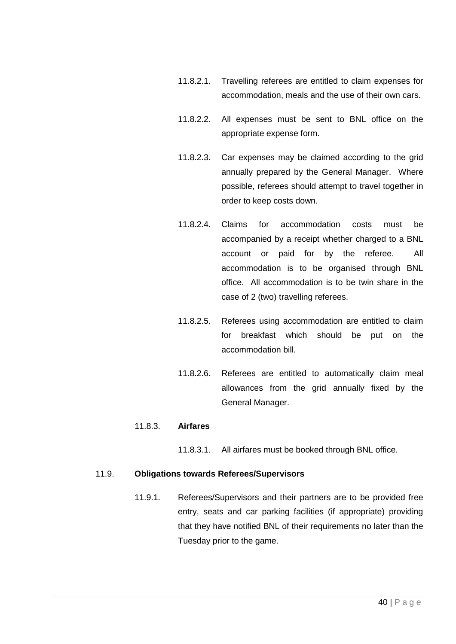- 11.8.2.1. Travelling referees are entitled to claim expenses for accommodation, meals and the use of their own cars.
- 11.8.2.2. All expenses must be sent to BNL office on the appropriate expense form.
- 11.8.2.3. Car expenses may be claimed according to the grid annually prepared by the General Manager. Where possible, referees should attempt to travel together in order to keep costs down.
- 11.8.2.4. Claims for accommodation costs must be accompanied by a receipt whether charged to a BNL account or paid for by the referee. All accommodation is to be organised through BNL office. All accommodation is to be twin share in the case of 2 (two) travelling referees.
- 11.8.2.5. Referees using accommodation are entitled to claim for breakfast which should be put on the accommodation bill.
- 11.8.2.6. Referees are entitled to automatically claim meal allowances from the grid annually fixed by the General Manager.

# 11.8.3. **Airfares**

11.8.3.1. All airfares must be booked through BNL office.

#### 11.9. **Obligations towards Referees/Supervisors**

11.9.1. Referees/Supervisors and their partners are to be provided free entry, seats and car parking facilities (if appropriate) providing that they have notified BNL of their requirements no later than the Tuesday prior to the game.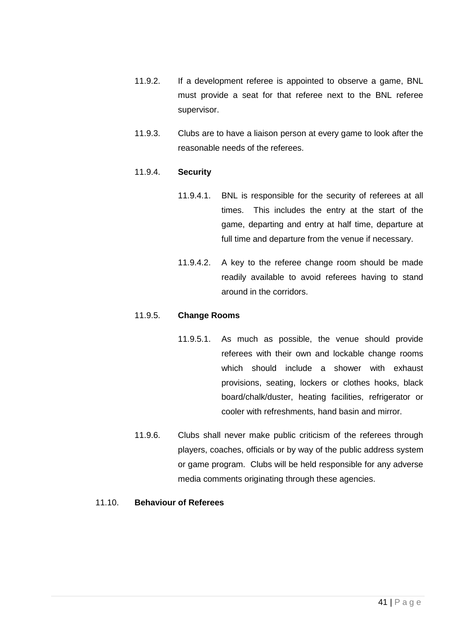- 11.9.2. If a development referee is appointed to observe a game, BNL must provide a seat for that referee next to the BNL referee supervisor.
- 11.9.3. Clubs are to have a liaison person at every game to look after the reasonable needs of the referees.

## 11.9.4. **Security**

- 11.9.4.1. BNL is responsible for the security of referees at all times. This includes the entry at the start of the game, departing and entry at half time, departure at full time and departure from the venue if necessary.
- 11.9.4.2. A key to the referee change room should be made readily available to avoid referees having to stand around in the corridors.

#### 11.9.5. **Change Rooms**

- 11.9.5.1. As much as possible, the venue should provide referees with their own and lockable change rooms which should include a shower with exhaust provisions, seating, lockers or clothes hooks, black board/chalk/duster, heating facilities, refrigerator or cooler with refreshments, hand basin and mirror.
- 11.9.6. Clubs shall never make public criticism of the referees through players, coaches, officials or by way of the public address system or game program. Clubs will be held responsible for any adverse media comments originating through these agencies.

#### 11.10. **Behaviour of Referees**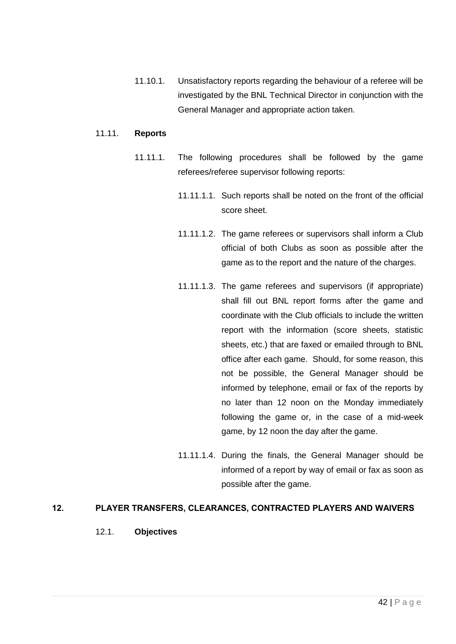11.10.1. Unsatisfactory reports regarding the behaviour of a referee will be investigated by the BNL Technical Director in conjunction with the General Manager and appropriate action taken.

#### 11.11. **Reports**

- 11.11.1. The following procedures shall be followed by the game referees/referee supervisor following reports:
	- 11.11.1.1. Such reports shall be noted on the front of the official score sheet.
	- 11.11.1.2. The game referees or supervisors shall inform a Club official of both Clubs as soon as possible after the game as to the report and the nature of the charges.
	- 11.11.1.3. The game referees and supervisors (if appropriate) shall fill out BNL report forms after the game and coordinate with the Club officials to include the written report with the information (score sheets, statistic sheets, etc.) that are faxed or emailed through to BNL office after each game. Should, for some reason, this not be possible, the General Manager should be informed by telephone, email or fax of the reports by no later than 12 noon on the Monday immediately following the game or, in the case of a mid-week game, by 12 noon the day after the game.
	- 11.11.1.4. During the finals, the General Manager should be informed of a report by way of email or fax as soon as possible after the game.

# 12. PLAYER TRANSFERS, CLEARANCES, CONTRACTED PLAYERS AND WAIVERS

## 12.1. **Objectives**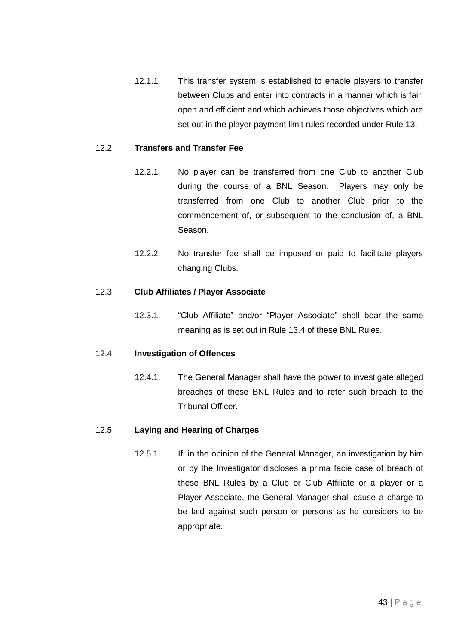12.1.1. This transfer system is established to enable players to transfer between Clubs and enter into contracts in a manner which is fair, open and efficient and which achieves those objectives which are set out in the player payment limit rules recorded under Rule [13.](#page-55-0)

## 12.2. **Transfers and Transfer Fee**

- 12.2.1. No player can be transferred from one Club to another Club during the course of a BNL Season. Players may only be transferred from one Club to another Club prior to the commencement of, or subsequent to the conclusion of, a BNL Season.
- 12.2.2. No transfer fee shall be imposed or paid to facilitate players changing Clubs.

#### 12.3. **Club Affiliates / Player Associate**

12.3.1. "Club Affiliate" and/or "Player Associate" shall bear the same meaning as is set out in Rule [13.4](#page-61-0) of these BNL Rules.

#### 12.4. **Investigation of Offences**

12.4.1. The General Manager shall have the power to investigate alleged breaches of these BNL Rules and to refer such breach to the Tribunal Officer.

#### 12.5. **Laying and Hearing of Charges**

12.5.1. If, in the opinion of the General Manager, an investigation by him or by the Investigator discloses a prima facie case of breach of these BNL Rules by a Club or Club Affiliate or a player or a Player Associate, the General Manager shall cause a charge to be laid against such person or persons as he considers to be appropriate.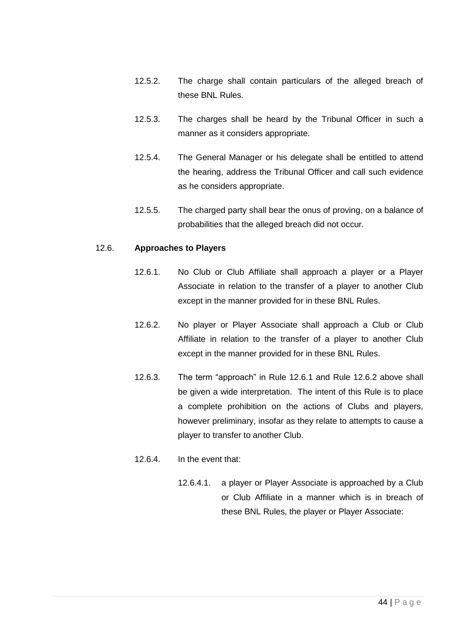- 12.5.2. The charge shall contain particulars of the alleged breach of these BNL Rules.
- 12.5.3. The charges shall be heard by the Tribunal Officer in such a manner as it considers appropriate.
- 12.5.4. The General Manager or his delegate shall be entitled to attend the hearing, address the Tribunal Officer and call such evidence as he considers appropriate.
- 12.5.5. The charged party shall bear the onus of proving, on a balance of probabilities that the alleged breach did not occur.

#### <span id="page-43-0"></span>12.6. **Approaches to Players**

- 12.6.1. No Club or Club Affiliate shall approach a player or a Player Associate in relation to the transfer of a player to another Club except in the manner provided for in these BNL Rules.
- <span id="page-43-1"></span>12.6.2. No player or Player Associate shall approach a Club or Club Affiliate in relation to the transfer of a player to another Club except in the manner provided for in these BNL Rules.
- 12.6.3. The term "approach" in Rule [12.6.1](#page-43-0) and Rule [12.6.2](#page-43-1) above shall be given a wide interpretation. The intent of this Rule is to place a complete prohibition on the actions of Clubs and players, however preliminary, insofar as they relate to attempts to cause a player to transfer to another Club.
- 12.6.4. In the event that:
	- 12.6.4.1. a player or Player Associate is approached by a Club or Club Affiliate in a manner which is in breach of these BNL Rules, the player or Player Associate: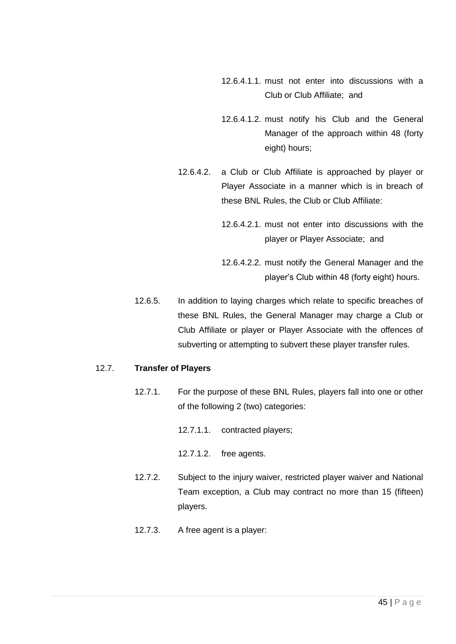- 12.6.4.1.1. must not enter into discussions with a Club or Club Affiliate; and
- 12.6.4.1.2. must notify his Club and the General Manager of the approach within 48 (forty eight) hours;
- 12.6.4.2. a Club or Club Affiliate is approached by player or Player Associate in a manner which is in breach of these BNL Rules, the Club or Club Affiliate:
	- 12.6.4.2.1. must not enter into discussions with the player or Player Associate; and
	- 12.6.4.2.2. must notify the General Manager and the player's Club within 48 (forty eight) hours.
- 12.6.5. In addition to laying charges which relate to specific breaches of these BNL Rules, the General Manager may charge a Club or Club Affiliate or player or Player Associate with the offences of subverting or attempting to subvert these player transfer rules.

# 12.7. **Transfer of Players**

- 12.7.1. For the purpose of these BNL Rules, players fall into one or other of the following 2 (two) categories:
	- 12.7.1.1. contracted players;
	- 12.7.1.2. free agents.
- 12.7.2. Subject to the injury waiver, restricted player waiver and National Team exception, a Club may contract no more than 15 (fifteen) players.
- 12.7.3. A free agent is a player: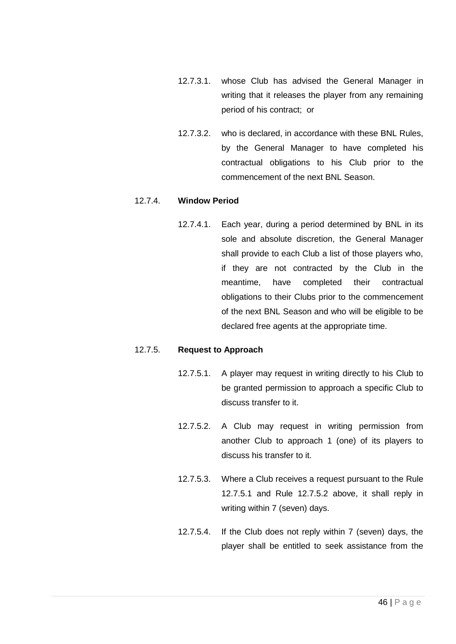- 12.7.3.1. whose Club has advised the General Manager in writing that it releases the player from any remaining period of his contract; or
- 12.7.3.2. who is declared, in accordance with these BNL Rules, by the General Manager to have completed his contractual obligations to his Club prior to the commencement of the next BNL Season.

#### 12.7.4. **Window Period**

12.7.4.1. Each year, during a period determined by BNL in its sole and absolute discretion, the General Manager shall provide to each Club a list of those players who, if they are not contracted by the Club in the meantime, have completed their contractual obligations to their Clubs prior to the commencement of the next BNL Season and who will be eligible to be declared free agents at the appropriate time.

#### <span id="page-45-1"></span><span id="page-45-0"></span>12.7.5. **Request to Approach**

- 12.7.5.1. A player may request in writing directly to his Club to be granted permission to approach a specific Club to discuss transfer to it.
- 12.7.5.2. A Club may request in writing permission from another Club to approach 1 (one) of its players to discuss his transfer to it.
- 12.7.5.3. Where a Club receives a request pursuant to the Rule [12.7.5.1](#page-45-0) and Rule [12.7.5.2](#page-45-1) above, it shall reply in writing within 7 (seven) days.
- 12.7.5.4. If the Club does not reply within 7 (seven) days, the player shall be entitled to seek assistance from the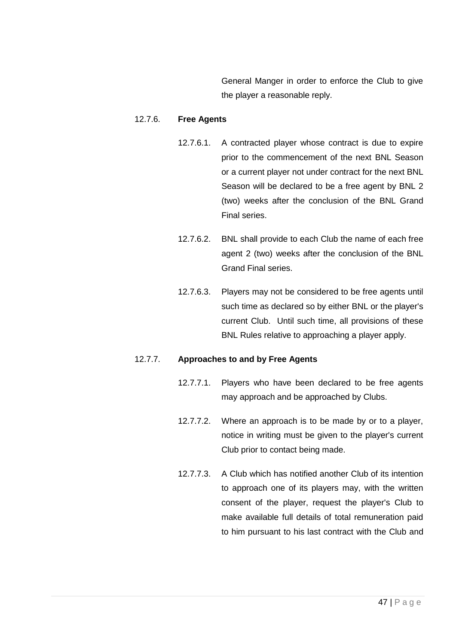General Manger in order to enforce the Club to give the player a reasonable reply.

## 12.7.6. **Free Agents**

- 12.7.6.1. A contracted player whose contract is due to expire prior to the commencement of the next BNL Season or a current player not under contract for the next BNL Season will be declared to be a free agent by BNL 2 (two) weeks after the conclusion of the BNL Grand Final series.
- 12.7.6.2. BNL shall provide to each Club the name of each free agent 2 (two) weeks after the conclusion of the BNL Grand Final series.
- 12.7.6.3. Players may not be considered to be free agents until such time as declared so by either BNL or the player's current Club. Until such time, all provisions of these BNL Rules relative to approaching a player apply.

#### <span id="page-46-0"></span>12.7.7. **Approaches to and by Free Agents**

- 12.7.7.1. Players who have been declared to be free agents may approach and be approached by Clubs.
- 12.7.7.2. Where an approach is to be made by or to a player, notice in writing must be given to the player's current Club prior to contact being made.
- 12.7.7.3. A Club which has notified another Club of its intention to approach one of its players may, with the written consent of the player, request the player's Club to make available full details of total remuneration paid to him pursuant to his last contract with the Club and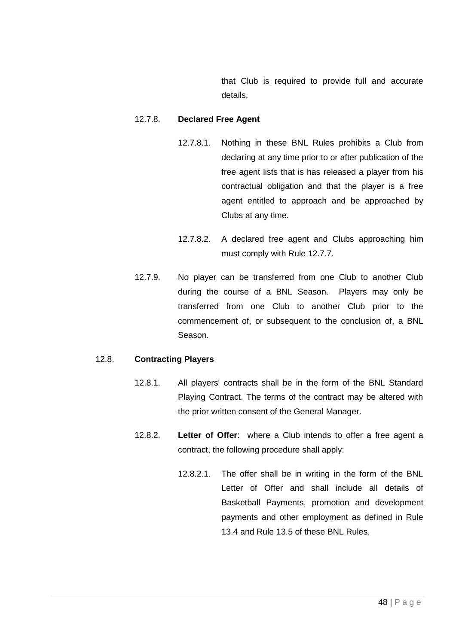that Club is required to provide full and accurate details.

## 12.7.8. **Declared Free Agent**

- 12.7.8.1. Nothing in these BNL Rules prohibits a Club from declaring at any time prior to or after publication of the free agent lists that is has released a player from his contractual obligation and that the player is a free agent entitled to approach and be approached by Clubs at any time.
- 12.7.8.2. A declared free agent and Clubs approaching him must comply with Rule [12.7.7.](#page-46-0)
- 12.7.9. No player can be transferred from one Club to another Club during the course of a BNL Season. Players may only be transferred from one Club to another Club prior to the commencement of, or subsequent to the conclusion of, a BNL Season.

#### 12.8. **Contracting Players**

- 12.8.1. All players' contracts shall be in the form of the BNL Standard Playing Contract. The terms of the contract may be altered with the prior written consent of the General Manager.
- 12.8.2. **Letter of Offer**: where a Club intends to offer a free agent a contract, the following procedure shall apply:
	- 12.8.2.1. The offer shall be in writing in the form of the BNL Letter of Offer and shall include all details of Basketball Payments, promotion and development payments and other employment as defined in Rule [13.4](#page-61-0) and Rule [13.5](#page-69-0) of these BNL Rules.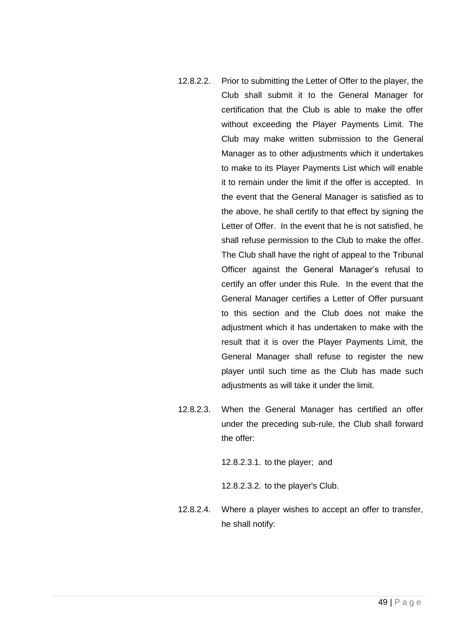- <span id="page-48-0"></span>12.8.2.2. Prior to submitting the Letter of Offer to the player, the Club shall submit it to the General Manager for certification that the Club is able to make the offer without exceeding the Player Payments Limit. The Club may make written submission to the General Manager as to other adjustments which it undertakes to make to its Player Payments List which will enable it to remain under the limit if the offer is accepted. In the event that the General Manager is satisfied as to the above, he shall certify to that effect by signing the Letter of Offer. In the event that he is not satisfied, he shall refuse permission to the Club to make the offer. The Club shall have the right of appeal to the Tribunal Officer against the General Manager's refusal to certify an offer under this Rule. In the event that the General Manager certifies a Letter of Offer pursuant to this section and the Club does not make the adjustment which it has undertaken to make with the result that it is over the Player Payments Limit, the General Manager shall refuse to register the new player until such time as the Club has made such adjustments as will take it under the limit.
- 12.8.2.3. When the General Manager has certified an offer under the preceding sub-rule, the Club shall forward the offer:

12.8.2.3.1. to the player; and

12.8.2.3.2. to the player's Club.

12.8.2.4. Where a player wishes to accept an offer to transfer, he shall notify: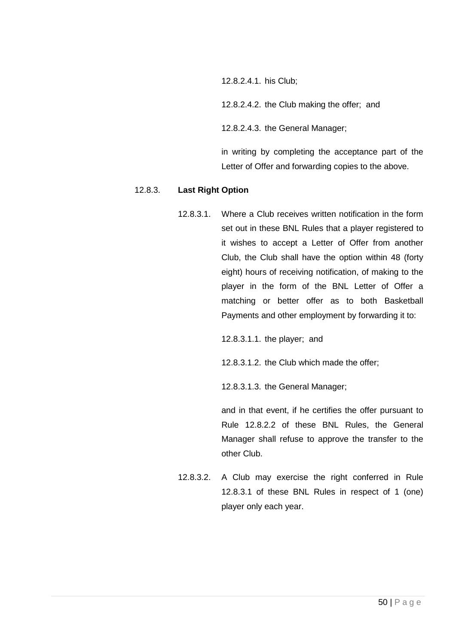12.8.2.4.1. his Club;

12.8.2.4.2. the Club making the offer; and

12.8.2.4.3. the General Manager;

in writing by completing the acceptance part of the Letter of Offer and forwarding copies to the above.

#### <span id="page-49-0"></span>12.8.3. **Last Right Option**

12.8.3.1. Where a Club receives written notification in the form set out in these BNL Rules that a player registered to it wishes to accept a Letter of Offer from another Club, the Club shall have the option within 48 (forty eight) hours of receiving notification, of making to the player in the form of the BNL Letter of Offer a matching or better offer as to both Basketball Payments and other employment by forwarding it to:

12.8.3.1.1. the player; and

12.8.3.1.2. the Club which made the offer;

12.8.3.1.3. the General Manager;

and in that event, if he certifies the offer pursuant to Rule [12.8.2.2](#page-48-0) of these BNL Rules, the General Manager shall refuse to approve the transfer to the other Club.

12.8.3.2. A Club may exercise the right conferred in Rule [12.8.3.1](#page-49-0) of these BNL Rules in respect of 1 (one) player only each year.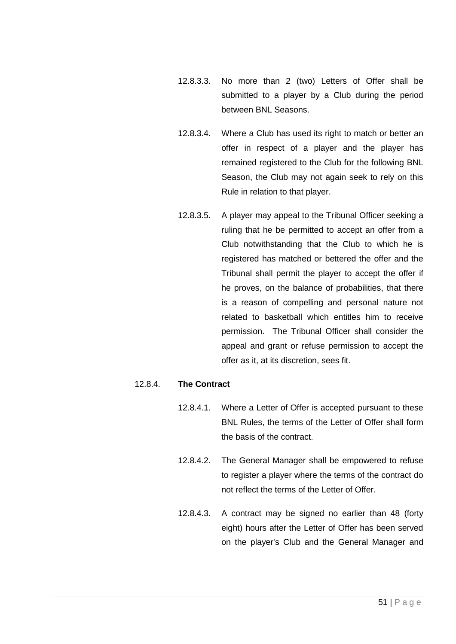- 12.8.3.3. No more than 2 (two) Letters of Offer shall be submitted to a player by a Club during the period between BNL Seasons.
- 12.8.3.4. Where a Club has used its right to match or better an offer in respect of a player and the player has remained registered to the Club for the following BNL Season, the Club may not again seek to rely on this Rule in relation to that player.
- 12.8.3.5. A player may appeal to the Tribunal Officer seeking a ruling that he be permitted to accept an offer from a Club notwithstanding that the Club to which he is registered has matched or bettered the offer and the Tribunal shall permit the player to accept the offer if he proves, on the balance of probabilities, that there is a reason of compelling and personal nature not related to basketball which entitles him to receive permission. The Tribunal Officer shall consider the appeal and grant or refuse permission to accept the offer as it, at its discretion, sees fit.

# 12.8.4. **The Contract**

- 12.8.4.1. Where a Letter of Offer is accepted pursuant to these BNL Rules, the terms of the Letter of Offer shall form the basis of the contract.
- 12.8.4.2. The General Manager shall be empowered to refuse to register a player where the terms of the contract do not reflect the terms of the Letter of Offer.
- 12.8.4.3. A contract may be signed no earlier than 48 (forty eight) hours after the Letter of Offer has been served on the player's Club and the General Manager and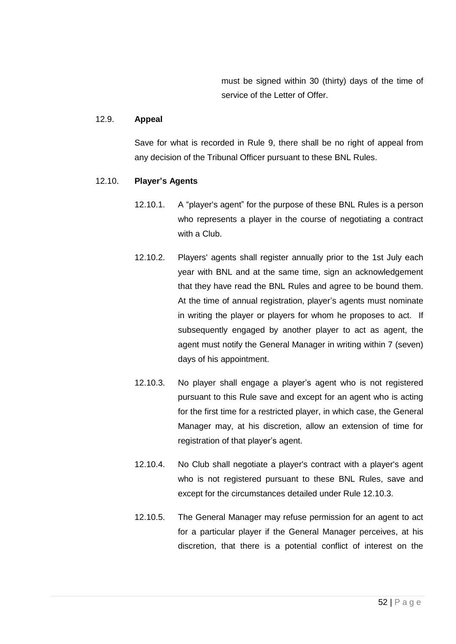must be signed within 30 (thirty) days of the time of service of the Letter of Offer.

## 12.9. **Appeal**

Save for what is recorded in Rule [9,](#page-31-0) there shall be no right of appeal from any decision of the Tribunal Officer pursuant to these BNL Rules.

## 12.10. **Player's Agents**

- 12.10.1. A "player's agent" for the purpose of these BNL Rules is a person who represents a player in the course of negotiating a contract with a Club.
- 12.10.2. Players' agents shall register annually prior to the 1st July each year with BNL and at the same time, sign an acknowledgement that they have read the BNL Rules and agree to be bound them. At the time of annual registration, player's agents must nominate in writing the player or players for whom he proposes to act. If subsequently engaged by another player to act as agent, the agent must notify the General Manager in writing within 7 (seven) days of his appointment.
- <span id="page-51-0"></span>12.10.3. No player shall engage a player's agent who is not registered pursuant to this Rule save and except for an agent who is acting for the first time for a restricted player, in which case, the General Manager may, at his discretion, allow an extension of time for registration of that player's agent.
- 12.10.4. No Club shall negotiate a player's contract with a player's agent who is not registered pursuant to these BNL Rules, save and except for the circumstances detailed under Rule [12.10.3.](#page-51-0)
- 12.10.5. The General Manager may refuse permission for an agent to act for a particular player if the General Manager perceives, at his discretion, that there is a potential conflict of interest on the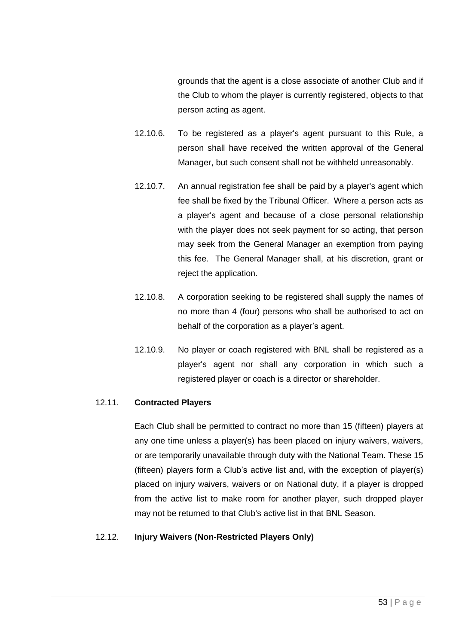grounds that the agent is a close associate of another Club and if the Club to whom the player is currently registered, objects to that person acting as agent.

- 12.10.6. To be registered as a player's agent pursuant to this Rule, a person shall have received the written approval of the General Manager, but such consent shall not be withheld unreasonably.
- 12.10.7. An annual registration fee shall be paid by a player's agent which fee shall be fixed by the Tribunal Officer. Where a person acts as a player's agent and because of a close personal relationship with the player does not seek payment for so acting, that person may seek from the General Manager an exemption from paying this fee. The General Manager shall, at his discretion, grant or reject the application.
- 12.10.8. A corporation seeking to be registered shall supply the names of no more than 4 (four) persons who shall be authorised to act on behalf of the corporation as a player's agent.
- 12.10.9. No player or coach registered with BNL shall be registered as a player's agent nor shall any corporation in which such a registered player or coach is a director or shareholder.

#### <span id="page-52-0"></span>12.11. **Contracted Players**

Each Club shall be permitted to contract no more than 15 (fifteen) players at any one time unless a player(s) has been placed on injury waivers, waivers, or are temporarily unavailable through duty with the National Team. These 15 (fifteen) players form a Club's active list and, with the exception of player(s) placed on injury waivers, waivers or on National duty, if a player is dropped from the active list to make room for another player, such dropped player may not be returned to that Club's active list in that BNL Season.

#### 12.12. **Injury Waivers (Non-Restricted Players Only)**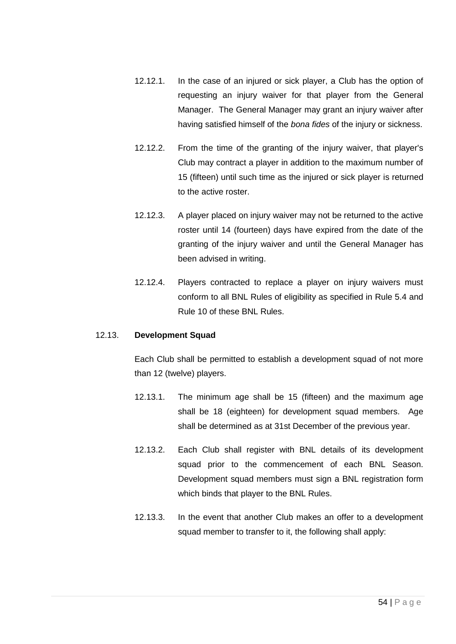- 12.12.1. In the case of an injured or sick player, a Club has the option of requesting an injury waiver for that player from the General Manager. The General Manager may grant an injury waiver after having satisfied himself of the *bona fides* of the injury or sickness.
- 12.12.2. From the time of the granting of the injury waiver, that player's Club may contract a player in addition to the maximum number of 15 (fifteen) until such time as the injured or sick player is returned to the active roster.
- 12.12.3. A player placed on injury waiver may not be returned to the active roster until 14 (fourteen) days have expired from the date of the granting of the injury waiver and until the General Manager has been advised in writing.
- 12.12.4. Players contracted to replace a player on injury waivers must conform to all BNL Rules of eligibility as specified in Rule [5.4](#page-8-1) and Rule [10](#page-31-1) of these BNL Rules.

#### 12.13. **Development Squad**

Each Club shall be permitted to establish a development squad of not more than 12 (twelve) players.

- 12.13.1. The minimum age shall be 15 (fifteen) and the maximum age shall be 18 (eighteen) for development squad members. Age shall be determined as at 31st December of the previous year.
- 12.13.2. Each Club shall register with BNL details of its development squad prior to the commencement of each BNL Season. Development squad members must sign a BNL registration form which binds that player to the BNL Rules.
- <span id="page-53-0"></span>12.13.3. In the event that another Club makes an offer to a development squad member to transfer to it, the following shall apply: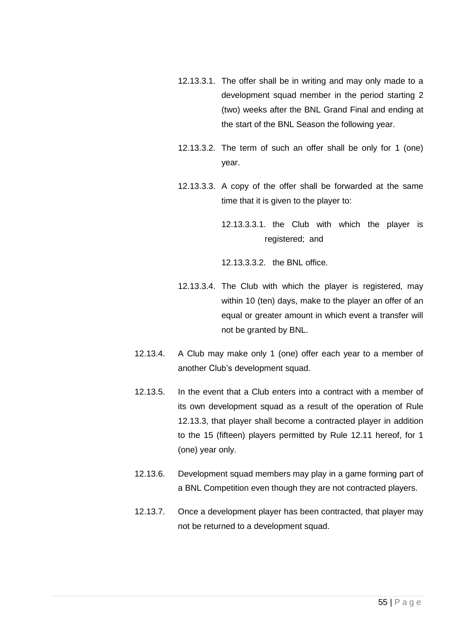- 12.13.3.1. The offer shall be in writing and may only made to a development squad member in the period starting 2 (two) weeks after the BNL Grand Final and ending at the start of the BNL Season the following year.
- 12.13.3.2. The term of such an offer shall be only for 1 (one) year.
- 12.13.3.3. A copy of the offer shall be forwarded at the same time that it is given to the player to:
	- 12.13.3.3.1. the Club with which the player is registered; and

12.13.3.3.2. the BNL office.

- 12.13.3.4. The Club with which the player is registered, may within 10 (ten) days, make to the player an offer of an equal or greater amount in which event a transfer will not be granted by BNL.
- 12.13.4. A Club may make only 1 (one) offer each year to a member of another Club's development squad.
- 12.13.5. In the event that a Club enters into a contract with a member of its own development squad as a result of the operation of Rule [12.13.3,](#page-53-0) that player shall become a contracted player in addition to the 15 (fifteen) players permitted by Rule [12.11](#page-52-0) hereof, for 1 (one) year only.
- 12.13.6. Development squad members may play in a game forming part of a BNL Competition even though they are not contracted players.
- 12.13.7. Once a development player has been contracted, that player may not be returned to a development squad.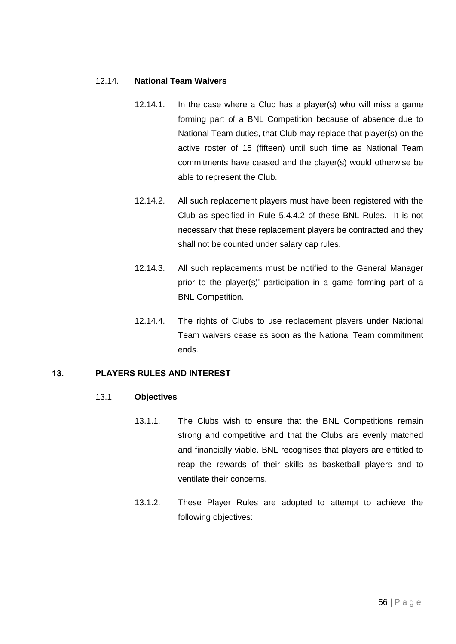#### 12.14. **National Team Waivers**

- 12.14.1. In the case where a Club has a player(s) who will miss a game forming part of a BNL Competition because of absence due to National Team duties, that Club may replace that player(s) on the active roster of 15 (fifteen) until such time as National Team commitments have ceased and the player(s) would otherwise be able to represent the Club.
- 12.14.2. All such replacement players must have been registered with the Club as specified in Rule [5.4.4.2](#page-9-0) of these BNL Rules. It is not necessary that these replacement players be contracted and they shall not be counted under salary cap rules.
- 12.14.3. All such replacements must be notified to the General Manager prior to the player(s)' participation in a game forming part of a BNL Competition.
- 12.14.4. The rights of Clubs to use replacement players under National Team waivers cease as soon as the National Team commitment ends.

# <span id="page-55-0"></span>13. PLAYERS RULES AND INTEREST

#### 13.1. **Objectives**

- 13.1.1. The Clubs wish to ensure that the BNL Competitions remain strong and competitive and that the Clubs are evenly matched and financially viable. BNL recognises that players are entitled to reap the rewards of their skills as basketball players and to ventilate their concerns.
- 13.1.2. These Player Rules are adopted to attempt to achieve the following objectives: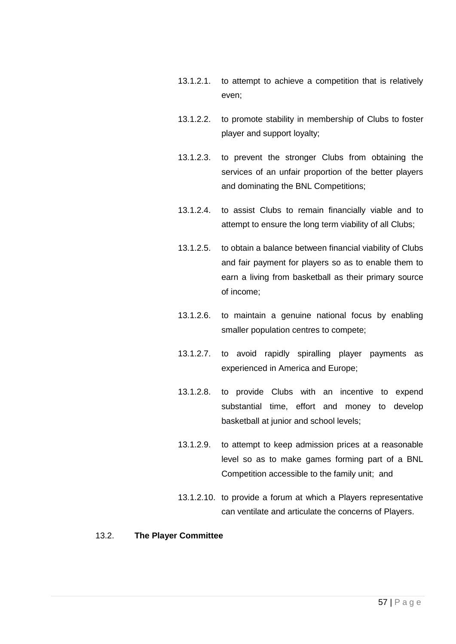- 13.1.2.1. to attempt to achieve a competition that is relatively even;
- 13.1.2.2. to promote stability in membership of Clubs to foster player and support loyalty;
- 13.1.2.3. to prevent the stronger Clubs from obtaining the services of an unfair proportion of the better players and dominating the BNL Competitions;
- 13.1.2.4. to assist Clubs to remain financially viable and to attempt to ensure the long term viability of all Clubs;
- 13.1.2.5. to obtain a balance between financial viability of Clubs and fair payment for players so as to enable them to earn a living from basketball as their primary source of income;
- 13.1.2.6. to maintain a genuine national focus by enabling smaller population centres to compete;
- 13.1.2.7. to avoid rapidly spiralling player payments as experienced in America and Europe;
- 13.1.2.8. to provide Clubs with an incentive to expend substantial time, effort and money to develop basketball at junior and school levels;
- 13.1.2.9. to attempt to keep admission prices at a reasonable level so as to make games forming part of a BNL Competition accessible to the family unit; and
- 13.1.2.10. to provide a forum at which a Players representative can ventilate and articulate the concerns of Players.

#### 13.2. **The Player Committee**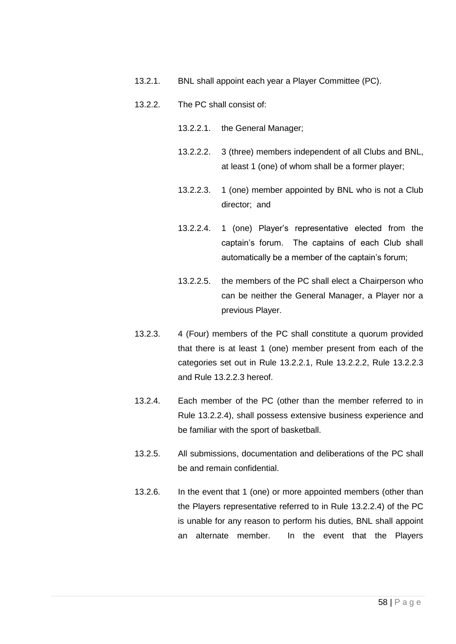- 13.2.1. BNL shall appoint each year a Player Committee (PC).
- <span id="page-57-2"></span><span id="page-57-1"></span><span id="page-57-0"></span>13.2.2. The PC shall consist of:
	- 13.2.2.1. the General Manager;
	- 13.2.2.2. 3 (three) members independent of all Clubs and BNL, at least 1 (one) of whom shall be a former player;
	- 13.2.2.3. 1 (one) member appointed by BNL who is not a Club director; and
	- 13.2.2.4. 1 (one) Player's representative elected from the captain's forum. The captains of each Club shall automatically be a member of the captain's forum;
	- 13.2.2.5. the members of the PC shall elect a Chairperson who can be neither the General Manager, a Player nor a previous Player.
- <span id="page-57-3"></span>13.2.3. 4 (Four) members of the PC shall constitute a quorum provided that there is at least 1 (one) member present from each of the categories set out in Rule [13.2.2.1,](#page-57-0) Rule [13.2.2.2,](#page-57-1) Rule 13.2.2.3 and Rule [13.2.2.3](#page-57-2) hereof.
- 13.2.4. Each member of the PC (other than the member referred to in Rule 13.2.2.4), shall possess extensive business experience and be familiar with the sport of basketball.
- 13.2.5. All submissions, documentation and deliberations of the PC shall be and remain confidential.
- 13.2.6. In the event that 1 (one) or more appointed members (other than the Players representative referred to in Rule [13.2.2.4\)](#page-57-3) of the PC is unable for any reason to perform his duties, BNL shall appoint an alternate member. In the event that the Players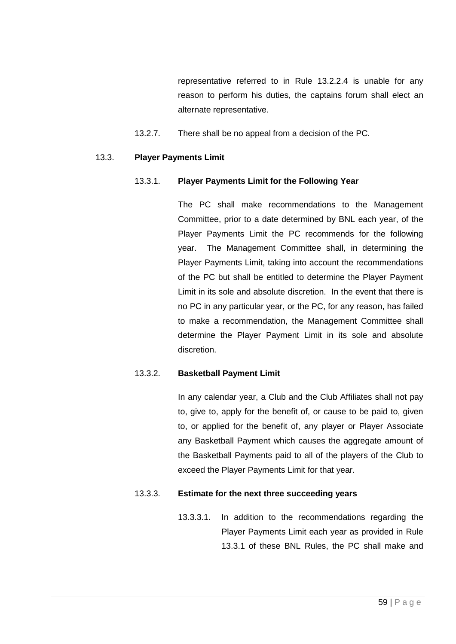representative referred to in Rule [13.2.2.4](#page-57-3) is unable for any reason to perform his duties, the captains forum shall elect an alternate representative.

13.2.7. There shall be no appeal from a decision of the PC.

#### <span id="page-58-0"></span>13.3. **Player Payments Limit**

## 13.3.1. **Player Payments Limit for the Following Year**

The PC shall make recommendations to the Management Committee, prior to a date determined by BNL each year, of the Player Payments Limit the PC recommends for the following year. The Management Committee shall, in determining the Player Payments Limit, taking into account the recommendations of the PC but shall be entitled to determine the Player Payment Limit in its sole and absolute discretion. In the event that there is no PC in any particular year, or the PC, for any reason, has failed to make a recommendation, the Management Committee shall determine the Player Payment Limit in its sole and absolute discretion.

# 13.3.2. **Basketball Payment Limit**

In any calendar year, a Club and the Club Affiliates shall not pay to, give to, apply for the benefit of, or cause to be paid to, given to, or applied for the benefit of, any player or Player Associate any Basketball Payment which causes the aggregate amount of the Basketball Payments paid to all of the players of the Club to exceed the Player Payments Limit for that year.

#### 13.3.3. **Estimate for the next three succeeding years**

13.3.3.1. In addition to the recommendations regarding the Player Payments Limit each year as provided in Rule [13.3.1](#page-58-0) of these BNL Rules, the PC shall make and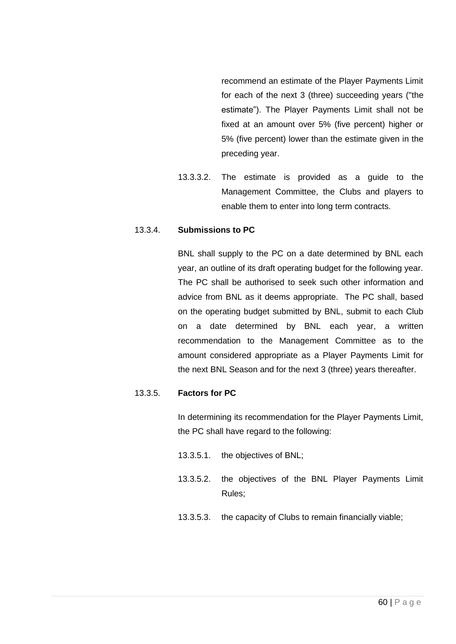recommend an estimate of the Player Payments Limit for each of the next 3 (three) succeeding years ("the estimate"). The Player Payments Limit shall not be fixed at an amount over 5% (five percent) higher or 5% (five percent) lower than the estimate given in the preceding year.

13.3.3.2. The estimate is provided as a guide to the Management Committee, the Clubs and players to enable them to enter into long term contracts.

## <span id="page-59-0"></span>13.3.4. **Submissions to PC**

BNL shall supply to the PC on a date determined by BNL each year, an outline of its draft operating budget for the following year. The PC shall be authorised to seek such other information and advice from BNL as it deems appropriate. The PC shall, based on the operating budget submitted by BNL, submit to each Club on a date determined by BNL each year, a written recommendation to the Management Committee as to the amount considered appropriate as a Player Payments Limit for the next BNL Season and for the next 3 (three) years thereafter.

#### 13.3.5. **Factors for PC**

In determining its recommendation for the Player Payments Limit, the PC shall have regard to the following:

- 13.3.5.1. the objectives of BNL;
- 13.3.5.2. the objectives of the BNL Player Payments Limit Rules;
- 13.3.5.3. the capacity of Clubs to remain financially viable;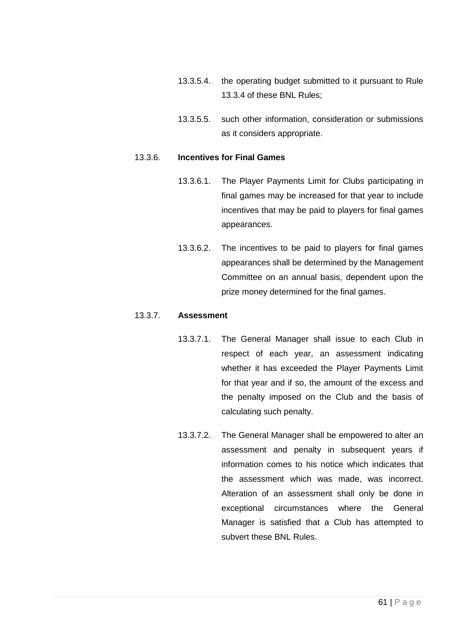- 13.3.5.4. the operating budget submitted to it pursuant to Rule [13.3.4](#page-59-0) of these BNL Rules;
- 13.3.5.5. such other information, consideration or submissions as it considers appropriate.

#### 13.3.6. **Incentives for Final Games**

- 13.3.6.1. The Player Payments Limit for Clubs participating in final games may be increased for that year to include incentives that may be paid to players for final games appearances.
- 13.3.6.2. The incentives to be paid to players for final games appearances shall be determined by the Management Committee on an annual basis, dependent upon the prize money determined for the final games.

## 13.3.7. **Assessment**

- 13.3.7.1. The General Manager shall issue to each Club in respect of each year, an assessment indicating whether it has exceeded the Player Payments Limit for that year and if so, the amount of the excess and the penalty imposed on the Club and the basis of calculating such penalty.
- 13.3.7.2. The General Manager shall be empowered to alter an assessment and penalty in subsequent years if information comes to his notice which indicates that the assessment which was made, was incorrect. Alteration of an assessment shall only be done in exceptional circumstances where the General Manager is satisfied that a Club has attempted to subvert these BNL Rules.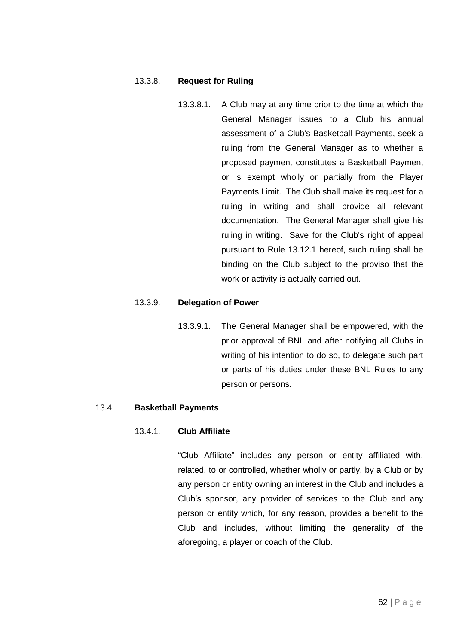## 13.3.8. **Request for Ruling**

13.3.8.1. A Club may at any time prior to the time at which the General Manager issues to a Club his annual assessment of a Club's Basketball Payments, seek a ruling from the General Manager as to whether a proposed payment constitutes a Basketball Payment or is exempt wholly or partially from the Player Payments Limit. The Club shall make its request for a ruling in writing and shall provide all relevant documentation. The General Manager shall give his ruling in writing. Save for the Club's right of appeal pursuant to Rule [13.12.1](#page-82-0) hereof, such ruling shall be binding on the Club subject to the proviso that the work or activity is actually carried out.

#### 13.3.9. **Delegation of Power**

13.3.9.1. The General Manager shall be empowered, with the prior approval of BNL and after notifying all Clubs in writing of his intention to do so, to delegate such part or parts of his duties under these BNL Rules to any person or persons.

# <span id="page-61-0"></span>13.4. **Basketball Payments**

#### 13.4.1. **Club Affiliate**

"Club Affiliate" includes any person or entity affiliated with, related, to or controlled, whether wholly or partly, by a Club or by any person or entity owning an interest in the Club and includes a Club's sponsor, any provider of services to the Club and any person or entity which, for any reason, provides a benefit to the Club and includes, without limiting the generality of the aforegoing, a player or coach of the Club.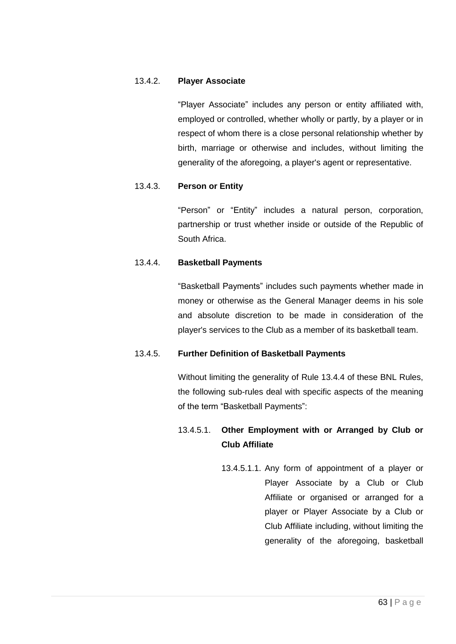## 13.4.2. **Player Associate**

"Player Associate" includes any person or entity affiliated with, employed or controlled, whether wholly or partly, by a player or in respect of whom there is a close personal relationship whether by birth, marriage or otherwise and includes, without limiting the generality of the aforegoing, a player's agent or representative.

# 13.4.3. **Person or Entity**

"Person" or "Entity" includes a natural person, corporation, partnership or trust whether inside or outside of the Republic of South Africa.

#### <span id="page-62-0"></span>13.4.4. **Basketball Payments**

"Basketball Payments" includes such payments whether made in money or otherwise as the General Manager deems in his sole and absolute discretion to be made in consideration of the player's services to the Club as a member of its basketball team.

#### 13.4.5. **Further Definition of Basketball Payments**

Without limiting the generality of Rule [13.4.4](#page-62-0) of these BNL Rules, the following sub-rules deal with specific aspects of the meaning of the term "Basketball Payments":

# 13.4.5.1. **Other Employment with or Arranged by Club or Club Affiliate**

13.4.5.1.1. Any form of appointment of a player or Player Associate by a Club or Club Affiliate or organised or arranged for a player or Player Associate by a Club or Club Affiliate including, without limiting the generality of the aforegoing, basketball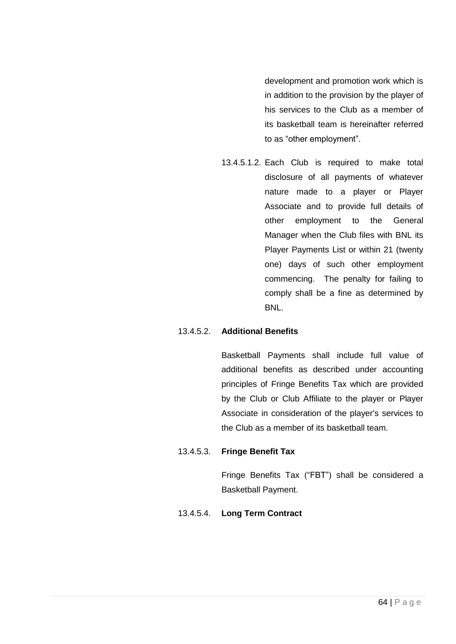development and promotion work which is in addition to the provision by the player of his services to the Club as a member of its basketball team is hereinafter referred to as "other employment".

13.4.5.1.2. Each Club is required to make total disclosure of all payments of whatever nature made to a player or Player Associate and to provide full details of other employment to the General Manager when the Club files with BNL its Player Payments List or within 21 (twenty one) days of such other employment commencing. The penalty for failing to comply shall be a fine as determined by **BNL.** 

#### 13.4.5.2. **Additional Benefits**

Basketball Payments shall include full value of additional benefits as described under accounting principles of Fringe Benefits Tax which are provided by the Club or Club Affiliate to the player or Player Associate in consideration of the player's services to the Club as a member of its basketball team.

# <span id="page-63-0"></span>13.4.5.3. **Fringe Benefit Tax**

Fringe Benefits Tax ("FBT") shall be considered a Basketball Payment.

#### 13.4.5.4. **Long Term Contract**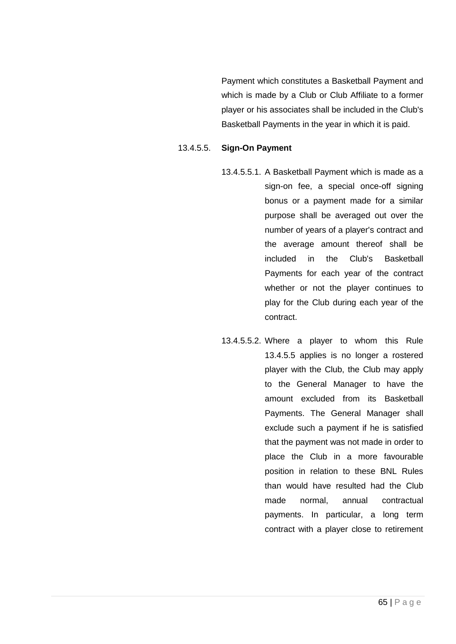Payment which constitutes a Basketball Payment and which is made by a Club or Club Affiliate to a former player or his associates shall be included in the Club's Basketball Payments in the year in which it is paid.

## <span id="page-64-0"></span>13.4.5.5. **Sign-On Payment**

- 13.4.5.5.1. A Basketball Payment which is made as a sign-on fee, a special once-off signing bonus or a payment made for a similar purpose shall be averaged out over the number of years of a player's contract and the average amount thereof shall be included in the Club's Basketball Payments for each year of the contract whether or not the player continues to play for the Club during each year of the contract.
- 13.4.5.5.2. Where a player to whom this Rule [13.4.5.5](#page-64-0) applies is no longer a rostered player with the Club, the Club may apply to the General Manager to have the amount excluded from its Basketball Payments. The General Manager shall exclude such a payment if he is satisfied that the payment was not made in order to place the Club in a more favourable position in relation to these BNL Rules than would have resulted had the Club made normal, annual contractual payments. In particular, a long term contract with a player close to retirement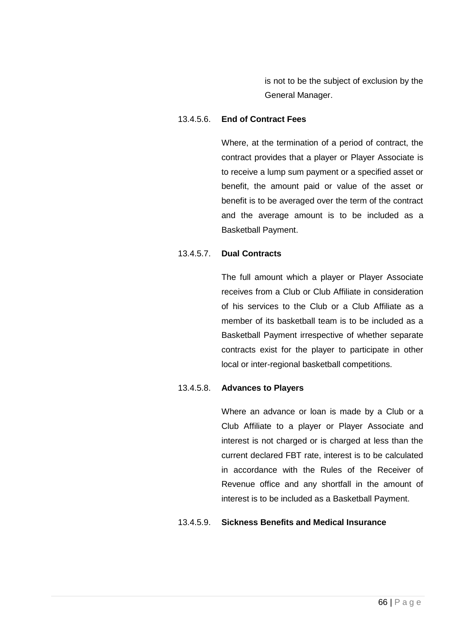is not to be the subject of exclusion by the General Manager.

## 13.4.5.6. **End of Contract Fees**

Where, at the termination of a period of contract, the contract provides that a player or Player Associate is to receive a lump sum payment or a specified asset or benefit, the amount paid or value of the asset or benefit is to be averaged over the term of the contract and the average amount is to be included as a Basketball Payment.

# 13.4.5.7. **Dual Contracts**

The full amount which a player or Player Associate receives from a Club or Club Affiliate in consideration of his services to the Club or a Club Affiliate as a member of its basketball team is to be included as a Basketball Payment irrespective of whether separate contracts exist for the player to participate in other local or inter-regional basketball competitions.

# 13.4.5.8. **Advances to Players**

Where an advance or loan is made by a Club or a Club Affiliate to a player or Player Associate and interest is not charged or is charged at less than the current declared FBT rate, interest is to be calculated in accordance with the Rules of the Receiver of Revenue office and any shortfall in the amount of interest is to be included as a Basketball Payment.

# 13.4.5.9. **Sickness Benefits and Medical Insurance**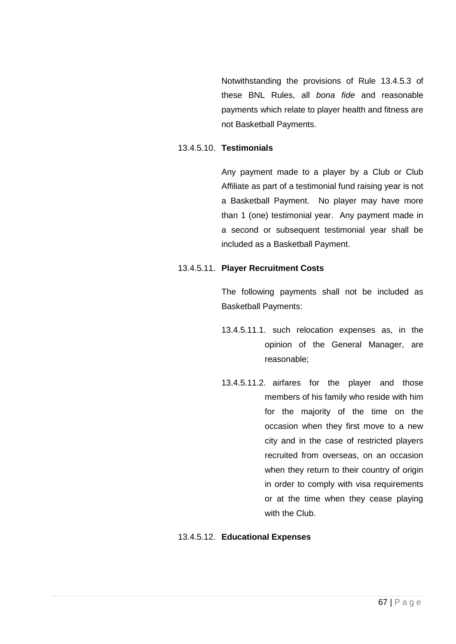Notwithstanding the provisions of Rule [13.4.5.3](#page-63-0) of these BNL Rules, all *bona fide* and reasonable payments which relate to player health and fitness are not Basketball Payments.

# 13.4.5.10. **Testimonials**

Any payment made to a player by a Club or Club Affiliate as part of a testimonial fund raising year is not a Basketball Payment. No player may have more than 1 (one) testimonial year. Any payment made in a second or subsequent testimonial year shall be included as a Basketball Payment.

## 13.4.5.11. **Player Recruitment Costs**

The following payments shall not be included as Basketball Payments:

- 13.4.5.11.1. such relocation expenses as, in the opinion of the General Manager, are reasonable;
- 13.4.5.11.2. airfares for the player and those members of his family who reside with him for the majority of the time on the occasion when they first move to a new city and in the case of restricted players recruited from overseas, on an occasion when they return to their country of origin in order to comply with visa requirements or at the time when they cease playing with the Club.

# 13.4.5.12. **Educational Expenses**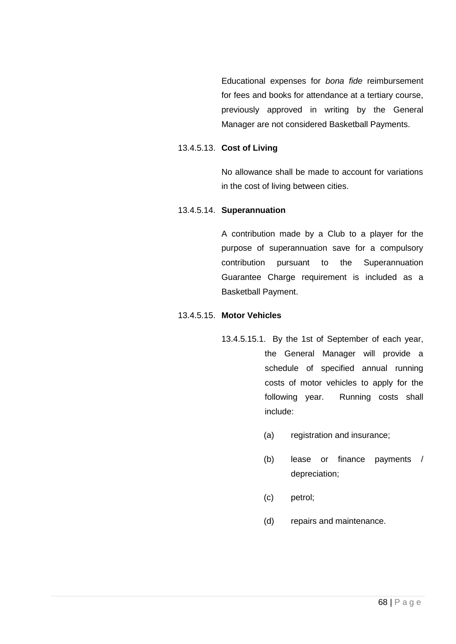Educational expenses for *bona fide* reimbursement for fees and books for attendance at a tertiary course, previously approved in writing by the General Manager are not considered Basketball Payments.

#### 13.4.5.13. **Cost of Living**

No allowance shall be made to account for variations in the cost of living between cities.

# 13.4.5.14. **Superannuation**

A contribution made by a Club to a player for the purpose of superannuation save for a compulsory contribution pursuant to the Superannuation Guarantee Charge requirement is included as a Basketball Payment.

## 13.4.5.15. **Motor Vehicles**

- 13.4.5.15.1. By the 1st of September of each year, the General Manager will provide a schedule of specified annual running costs of motor vehicles to apply for the following year. Running costs shall include:
	- (a) registration and insurance;
	- (b) lease or finance payments / depreciation;
	- (c) petrol;
	- (d) repairs and maintenance.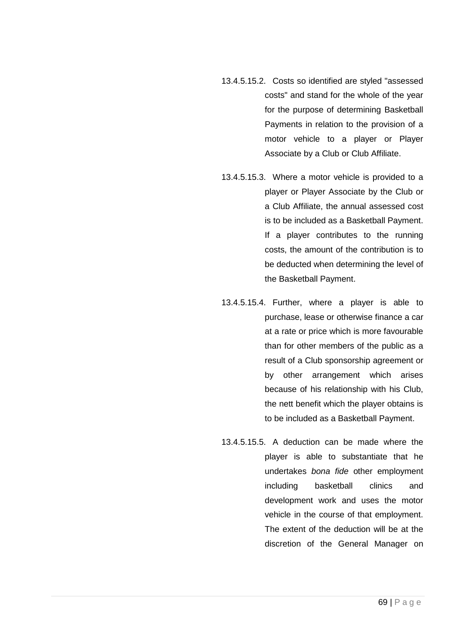- 13.4.5.15.2. Costs so identified are styled "assessed costs" and stand for the whole of the year for the purpose of determining Basketball Payments in relation to the provision of a motor vehicle to a player or Player Associate by a Club or Club Affiliate.
- 13.4.5.15.3. Where a motor vehicle is provided to a player or Player Associate by the Club or a Club Affiliate, the annual assessed cost is to be included as a Basketball Payment. If a player contributes to the running costs, the amount of the contribution is to be deducted when determining the level of the Basketball Payment.
- 13.4.5.15.4. Further, where a player is able to purchase, lease or otherwise finance a car at a rate or price which is more favourable than for other members of the public as a result of a Club sponsorship agreement or by other arrangement which arises because of his relationship with his Club, the nett benefit which the player obtains is to be included as a Basketball Payment.
- 13.4.5.15.5. A deduction can be made where the player is able to substantiate that he undertakes *bona fide* other employment including basketball clinics and development work and uses the motor vehicle in the course of that employment. The extent of the deduction will be at the discretion of the General Manager on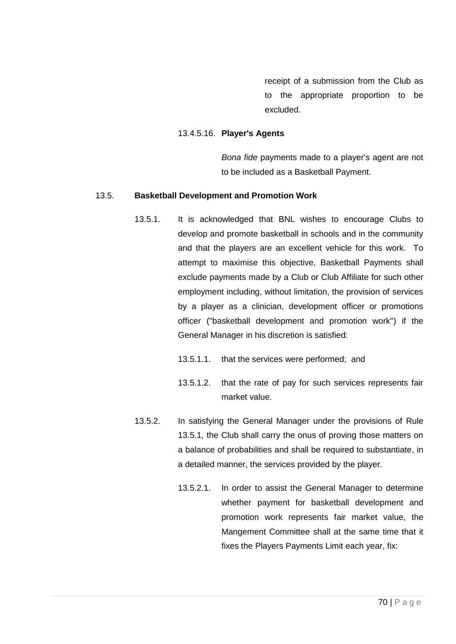receipt of a submission from the Club as to the appropriate proportion to be excluded.

#### 13.4.5.16. **Player's Agents**

*Bona fide* payments made to a player's agent are not to be included as a Basketball Payment.

#### <span id="page-69-1"></span><span id="page-69-0"></span>13.5. **Basketball Development and Promotion Work**

- 13.5.1. It is acknowledged that BNL wishes to encourage Clubs to develop and promote basketball in schools and in the community and that the players are an excellent vehicle for this work. To attempt to maximise this objective, Basketball Payments shall exclude payments made by a Club or Club Affiliate for such other employment including, without limitation, the provision of services by a player as a clinician, development officer or promotions officer ("basketball development and promotion work") if the General Manager in his discretion is satisfied:
	- 13.5.1.1. that the services were performed; and
	- 13.5.1.2. that the rate of pay for such services represents fair market value.
- 13.5.2. In satisfying the General Manager under the provisions of Rule [13.5.1,](#page-69-1) the Club shall carry the onus of proving those matters on a balance of probabilities and shall be required to substantiate, in a detailed manner, the services provided by the player.
	- 13.5.2.1. In order to assist the General Manager to determine whether payment for basketball development and promotion work represents fair market value, the Mangement Committee shall at the same time that it fixes the Players Payments Limit each year, fix: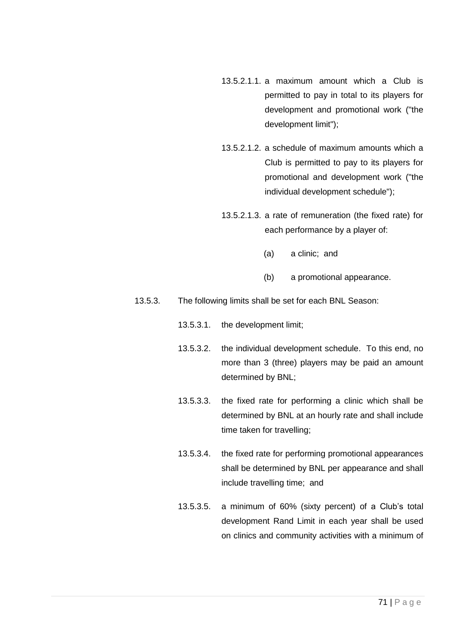- 13.5.2.1.1. a maximum amount which a Club is permitted to pay in total to its players for development and promotional work ("the development limit");
- 13.5.2.1.2. a schedule of maximum amounts which a Club is permitted to pay to its players for promotional and development work ("the individual development schedule");
- 13.5.2.1.3. a rate of remuneration (the fixed rate) for each performance by a player of:
	- (a) a clinic; and
	- (b) a promotional appearance.
- 13.5.3. The following limits shall be set for each BNL Season:
	- 13.5.3.1. the development limit;
	- 13.5.3.2. the individual development schedule. To this end, no more than 3 (three) players may be paid an amount determined by BNL;
	- 13.5.3.3. the fixed rate for performing a clinic which shall be determined by BNL at an hourly rate and shall include time taken for travelling;
	- 13.5.3.4. the fixed rate for performing promotional appearances shall be determined by BNL per appearance and shall include travelling time; and
	- 13.5.3.5. a minimum of 60% (sixty percent) of a Club's total development Rand Limit in each year shall be used on clinics and community activities with a minimum of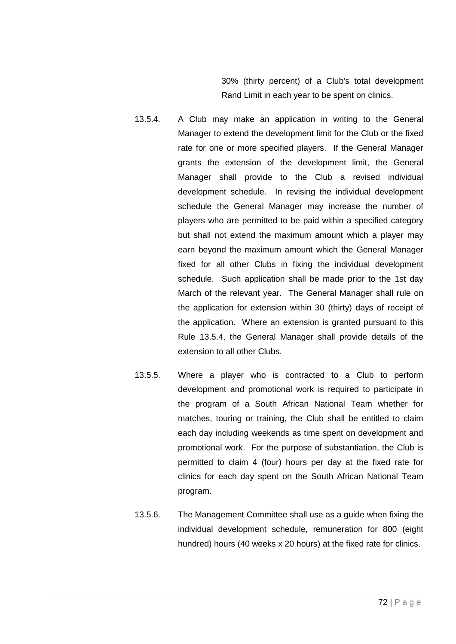30% (thirty percent) of a Club's total development Rand Limit in each year to be spent on clinics.

- <span id="page-71-0"></span>13.5.4. A Club may make an application in writing to the General Manager to extend the development limit for the Club or the fixed rate for one or more specified players. If the General Manager grants the extension of the development limit, the General Manager shall provide to the Club a revised individual development schedule. In revising the individual development schedule the General Manager may increase the number of players who are permitted to be paid within a specified category but shall not extend the maximum amount which a player may earn beyond the maximum amount which the General Manager fixed for all other Clubs in fixing the individual development schedule. Such application shall be made prior to the 1st day March of the relevant year. The General Manager shall rule on the application for extension within 30 (thirty) days of receipt of the application. Where an extension is granted pursuant to this Rule [13.5.4,](#page-71-0) the General Manager shall provide details of the extension to all other Clubs.
- 13.5.5. Where a player who is contracted to a Club to perform development and promotional work is required to participate in the program of a South African National Team whether for matches, touring or training, the Club shall be entitled to claim each day including weekends as time spent on development and promotional work. For the purpose of substantiation, the Club is permitted to claim 4 (four) hours per day at the fixed rate for clinics for each day spent on the South African National Team program.
- 13.5.6. The Management Committee shall use as a guide when fixing the individual development schedule, remuneration for 800 (eight hundred) hours (40 weeks x 20 hours) at the fixed rate for clinics.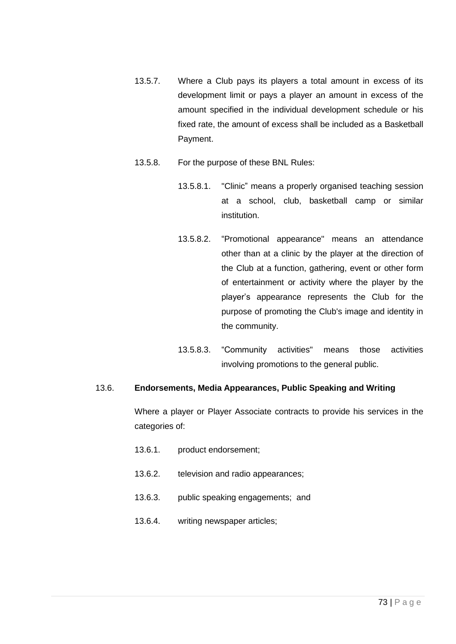- 13.5.7. Where a Club pays its players a total amount in excess of its development limit or pays a player an amount in excess of the amount specified in the individual development schedule or his fixed rate, the amount of excess shall be included as a Basketball Payment.
- 13.5.8. For the purpose of these BNL Rules:
	- 13.5.8.1. "Clinic" means a properly organised teaching session at a school, club, basketball camp or similar institution.
	- 13.5.8.2. "Promotional appearance" means an attendance other than at a clinic by the player at the direction of the Club at a function, gathering, event or other form of entertainment or activity where the player by the player's appearance represents the Club for the purpose of promoting the Club's image and identity in the community.
	- 13.5.8.3. "Community activities" means those activities involving promotions to the general public.

# 13.6. **Endorsements, Media Appearances, Public Speaking and Writing**

Where a player or Player Associate contracts to provide his services in the categories of:

- 13.6.1. product endorsement;
- 13.6.2. television and radio appearances;
- 13.6.3. public speaking engagements; and
- 13.6.4. writing newspaper articles;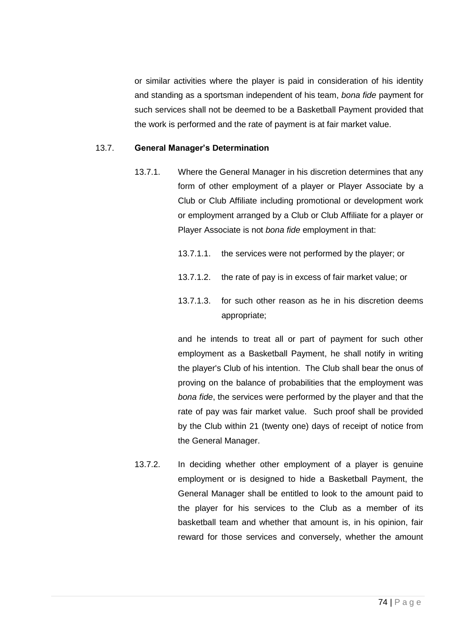or similar activities where the player is paid in consideration of his identity and standing as a sportsman independent of his team, *bona fide* payment for such services shall not be deemed to be a Basketball Payment provided that the work is performed and the rate of payment is at fair market value.

## 13.7. **General Manager's Determination**

- 13.7.1. Where the General Manager in his discretion determines that any form of other employment of a player or Player Associate by a Club or Club Affiliate including promotional or development work or employment arranged by a Club or Club Affiliate for a player or Player Associate is not *bona fide* employment in that:
	- 13.7.1.1. the services were not performed by the player; or
	- 13.7.1.2. the rate of pay is in excess of fair market value; or
	- 13.7.1.3. for such other reason as he in his discretion deems appropriate;

and he intends to treat all or part of payment for such other employment as a Basketball Payment, he shall notify in writing the player's Club of his intention. The Club shall bear the onus of proving on the balance of probabilities that the employment was *bona fide*, the services were performed by the player and that the rate of pay was fair market value. Such proof shall be provided by the Club within 21 (twenty one) days of receipt of notice from the General Manager.

13.7.2. In deciding whether other employment of a player is genuine employment or is designed to hide a Basketball Payment, the General Manager shall be entitled to look to the amount paid to the player for his services to the Club as a member of its basketball team and whether that amount is, in his opinion, fair reward for those services and conversely, whether the amount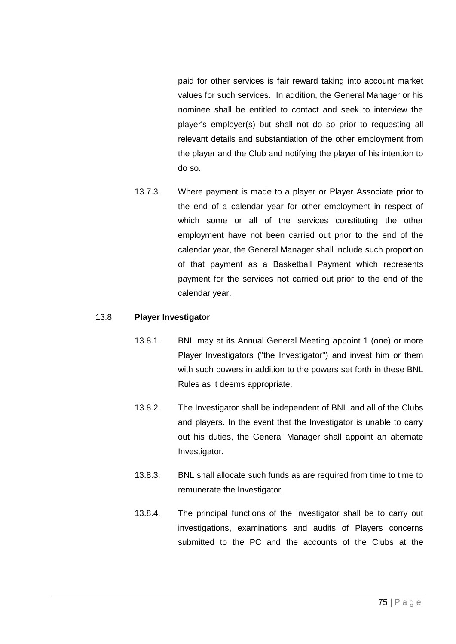paid for other services is fair reward taking into account market values for such services. In addition, the General Manager or his nominee shall be entitled to contact and seek to interview the player's employer(s) but shall not do so prior to requesting all relevant details and substantiation of the other employment from the player and the Club and notifying the player of his intention to do so.

13.7.3. Where payment is made to a player or Player Associate prior to the end of a calendar year for other employment in respect of which some or all of the services constituting the other employment have not been carried out prior to the end of the calendar year, the General Manager shall include such proportion of that payment as a Basketball Payment which represents payment for the services not carried out prior to the end of the calendar year.

### 13.8. **Player Investigator**

- 13.8.1. BNL may at its Annual General Meeting appoint 1 (one) or more Player Investigators (''the Investigator") and invest him or them with such powers in addition to the powers set forth in these BNL Rules as it deems appropriate.
- 13.8.2. The Investigator shall be independent of BNL and all of the Clubs and players. In the event that the Investigator is unable to carry out his duties, the General Manager shall appoint an alternate Investigator.
- 13.8.3. BNL shall allocate such funds as are required from time to time to remunerate the Investigator.
- <span id="page-74-0"></span>13.8.4. The principal functions of the Investigator shall be to carry out investigations, examinations and audits of Players concerns submitted to the PC and the accounts of the Clubs at the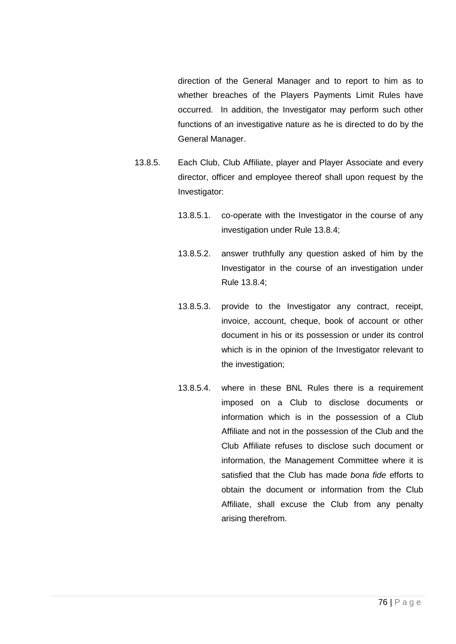direction of the General Manager and to report to him as to whether breaches of the Players Payments Limit Rules have occurred. In addition, the Investigator may perform such other functions of an investigative nature as he is directed to do by the General Manager.

- 13.8.5. Each Club, Club Affiliate, player and Player Associate and every director, officer and employee thereof shall upon request by the Investigator:
	- 13.8.5.1. co-operate with the Investigator in the course of any investigation under Rule [13.8.4;](#page-74-0)
	- 13.8.5.2. answer truthfully any question asked of him by the Investigator in the course of an investigation under Rule [13.8.4;](#page-74-0)
	- 13.8.5.3. provide to the Investigator any contract, receipt, invoice, account, cheque, book of account or other document in his or its possession or under its control which is in the opinion of the Investigator relevant to the investigation;
	- 13.8.5.4. where in these BNL Rules there is a requirement imposed on a Club to disclose documents or information which is in the possession of a Club Affiliate and not in the possession of the Club and the Club Affiliate refuses to disclose such document or information, the Management Committee where it is satisfied that the Club has made *bona fide* efforts to obtain the document or information from the Club Affiliate, shall excuse the Club from any penalty arising therefrom.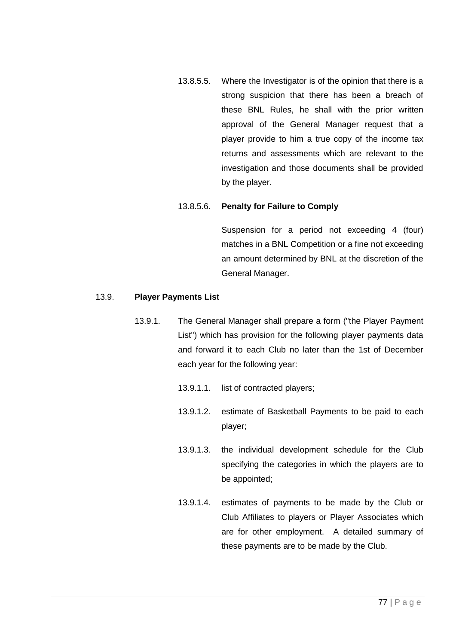13.8.5.5. Where the Investigator is of the opinion that there is a strong suspicion that there has been a breach of these BNL Rules, he shall with the prior written approval of the General Manager request that a player provide to him a true copy of the income tax returns and assessments which are relevant to the investigation and those documents shall be provided by the player.

## 13.8.5.6. **Penalty for Failure to Comply**

Suspension for a period not exceeding 4 (four) matches in a BNL Competition or a fine not exceeding an amount determined by BNL at the discretion of the General Manager.

## 13.9. **Player Payments List**

- 13.9.1. The General Manager shall prepare a form ("the Player Payment List") which has provision for the following player payments data and forward it to each Club no later than the 1st of December each year for the following year:
	- 13.9.1.1. list of contracted players;
	- 13.9.1.2. estimate of Basketball Payments to be paid to each player;
	- 13.9.1.3. the individual development schedule for the Club specifying the categories in which the players are to be appointed;
	- 13.9.1.4. estimates of payments to be made by the Club or Club Affiliates to players or Player Associates which are for other employment. A detailed summary of these payments are to be made by the Club.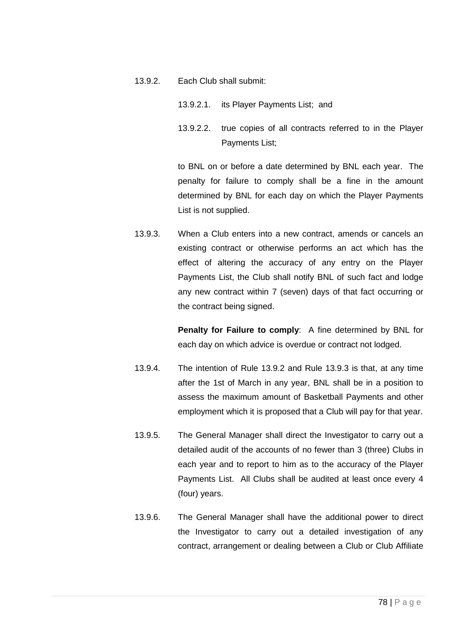- <span id="page-77-0"></span>13.9.2. Each Club shall submit:
	- 13.9.2.1. its Player Payments List; and
	- 13.9.2.2. true copies of all contracts referred to in the Player Payments List;

to BNL on or before a date determined by BNL each year. The penalty for failure to comply shall be a fine in the amount determined by BNL for each day on which the Player Payments List is not supplied.

<span id="page-77-1"></span>13.9.3. When a Club enters into a new contract, amends or cancels an existing contract or otherwise performs an act which has the effect of altering the accuracy of any entry on the Player Payments List, the Club shall notify BNL of such fact and lodge any new contract within 7 (seven) days of that fact occurring or the contract being signed.

> **Penalty for Failure to comply**: A fine determined by BNL for each day on which advice is overdue or contract not lodged.

- 13.9.4. The intention of Rule [13.9.2](#page-77-0) and Rule [13.9.3](#page-77-1) is that, at any time after the 1st of March in any year, BNL shall be in a position to assess the maximum amount of Basketball Payments and other employment which it is proposed that a Club will pay for that year.
- 13.9.5. The General Manager shall direct the Investigator to carry out a detailed audit of the accounts of no fewer than 3 (three) Clubs in each year and to report to him as to the accuracy of the Player Payments List. All Clubs shall be audited at least once every 4 (four) years.
- 13.9.6. The General Manager shall have the additional power to direct the Investigator to carry out a detailed investigation of any contract, arrangement or dealing between a Club or Club Affiliate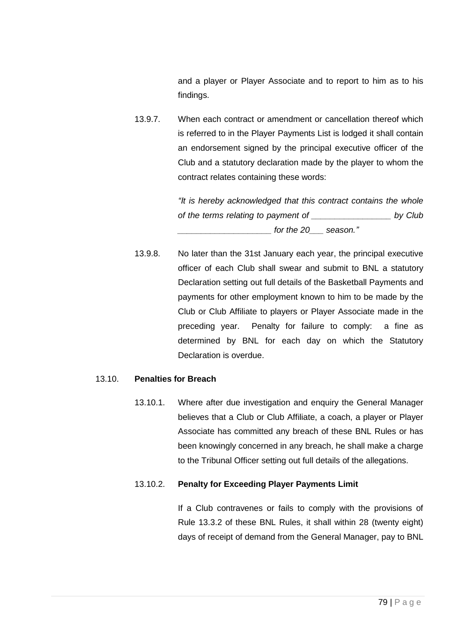and a player or Player Associate and to report to him as to his findings.

13.9.7. When each contract or amendment or cancellation thereof which is referred to in the Player Payments List is lodged it shall contain an endorsement signed by the principal executive officer of the Club and a statutory declaration made by the player to whom the contract relates containing these words:

> *"It is hereby acknowledged that this contract contains the whole of the terms relating to payment of \_\_\_\_\_\_\_\_\_\_\_\_\_\_\_\_\_ by Club \_\_\_\_\_\_\_\_\_\_\_\_\_\_\_\_\_\_\_\_ for the 20\_\_\_ season."*

13.9.8. No later than the 31st January each year, the principal executive officer of each Club shall swear and submit to BNL a statutory Declaration setting out full details of the Basketball Payments and payments for other employment known to him to be made by the Club or Club Affiliate to players or Player Associate made in the preceding year. Penalty for failure to comply: a fine as determined by BNL for each day on which the Statutory Declaration is overdue.

### <span id="page-78-1"></span>13.10. **Penalties for Breach**

13.10.1. Where after due investigation and enquiry the General Manager believes that a Club or Club Affiliate, a coach, a player or Player Associate has committed any breach of these BNL Rules or has been knowingly concerned in any breach, he shall make a charge to the Tribunal Officer setting out full details of the allegations.

# <span id="page-78-0"></span>13.10.2. **Penalty for Exceeding Player Payments Limit**

If a Club contravenes or fails to comply with the provisions of Rule [13.3.2](#page-58-0) of these BNL Rules, it shall within 28 (twenty eight) days of receipt of demand from the General Manager, pay to BNL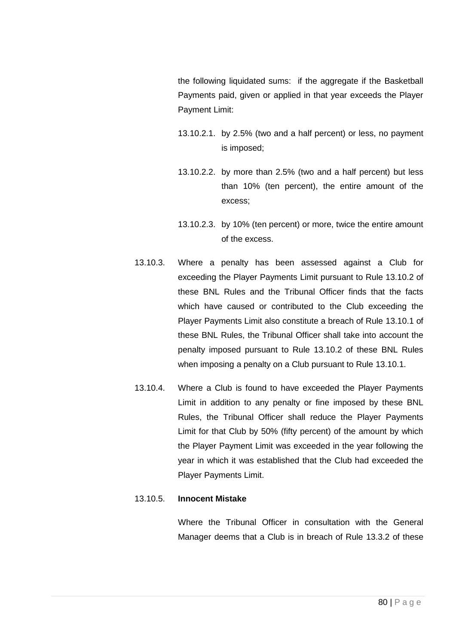the following liquidated sums: if the aggregate if the Basketball Payments paid, given or applied in that year exceeds the Player Payment Limit:

- 13.10.2.1. by 2.5% (two and a half percent) or less, no payment is imposed;
- 13.10.2.2. by more than 2.5% (two and a half percent) but less than 10% (ten percent), the entire amount of the excess;
- 13.10.2.3. by 10% (ten percent) or more, twice the entire amount of the excess.
- 13.10.3. Where a penalty has been assessed against a Club for exceeding the Player Payments Limit pursuant to Rule [13.10.2](#page-78-0) of these BNL Rules and the Tribunal Officer finds that the facts which have caused or contributed to the Club exceeding the Player Payments Limit also constitute a breach of Rule [13.10.1](#page-78-1) of these BNL Rules, the Tribunal Officer shall take into account the penalty imposed pursuant to Rule [13.10.2](#page-78-0) of these BNL Rules when imposing a penalty on a Club pursuant to Rule [13.10.1.](#page-78-1)
- 13.10.4. Where a Club is found to have exceeded the Player Payments Limit in addition to any penalty or fine imposed by these BNL Rules, the Tribunal Officer shall reduce the Player Payments Limit for that Club by 50% (fifty percent) of the amount by which the Player Payment Limit was exceeded in the year following the year in which it was established that the Club had exceeded the Player Payments Limit.

### 13.10.5. **Innocent Mistake**

Where the Tribunal Officer in consultation with the General Manager deems that a Club is in breach of Rule [13.3.2](#page-58-0) of these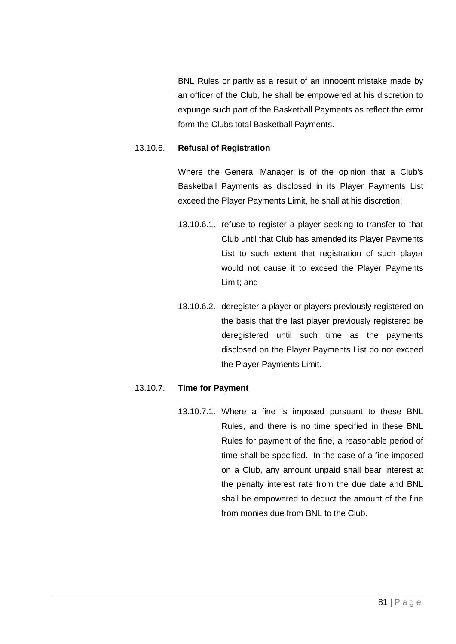BNL Rules or partly as a result of an innocent mistake made by an officer of the Club, he shall be empowered at his discretion to expunge such part of the Basketball Payments as reflect the error form the Clubs total Basketball Payments.

### 13.10.6. **Refusal of Registration**

Where the General Manager is of the opinion that a Club's Basketball Payments as disclosed in its Player Payments List exceed the Player Payments Limit, he shall at his discretion:

- 13.10.6.1. refuse to register a player seeking to transfer to that Club until that Club has amended its Player Payments List to such extent that registration of such player would not cause it to exceed the Player Payments Limit; and
- 13.10.6.2. deregister a player or players previously registered on the basis that the last player previously registered be deregistered until such time as the payments disclosed on the Player Payments List do not exceed the Player Payments Limit.

### 13.10.7. **Time for Payment**

13.10.7.1. Where a fine is imposed pursuant to these BNL Rules, and there is no time specified in these BNL Rules for payment of the fine, a reasonable period of time shall be specified. In the case of a fine imposed on a Club, any amount unpaid shall bear interest at the penalty interest rate from the due date and BNL shall be empowered to deduct the amount of the fine from monies due from BNL to the Club.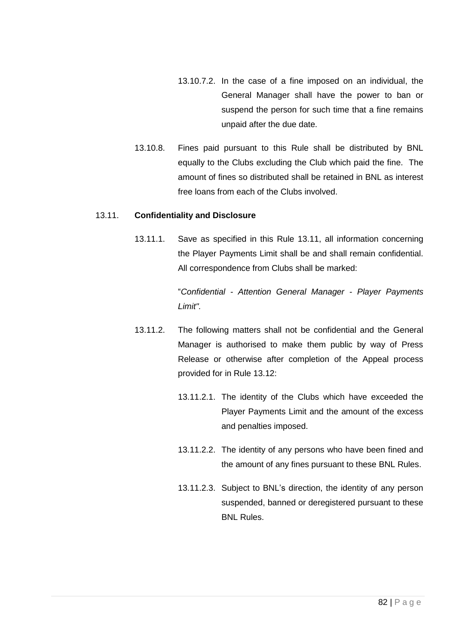- 13.10.7.2. In the case of a fine imposed on an individual, the General Manager shall have the power to ban or suspend the person for such time that a fine remains unpaid after the due date.
- 13.10.8. Fines paid pursuant to this Rule shall be distributed by BNL equally to the Clubs excluding the Club which paid the fine. The amount of fines so distributed shall be retained in BNL as interest free loans from each of the Clubs involved.

### <span id="page-81-0"></span>13.11. **Confidentiality and Disclosure**

13.11.1. Save as specified in this Rule [13.11,](#page-81-0) all information concerning the Player Payments Limit shall be and shall remain confidential. All correspondence from Clubs shall be marked:

> "*Confidential - Attention General Manager - Player Payments Limit".*

- 13.11.2. The following matters shall not be confidential and the General Manager is authorised to make them public by way of Press Release or otherwise after completion of the Appeal process provided for in Rule [13.12:](#page-82-0)
	- 13.11.2.1. The identity of the Clubs which have exceeded the Player Payments Limit and the amount of the excess and penalties imposed.
	- 13.11.2.2. The identity of any persons who have been fined and the amount of any fines pursuant to these BNL Rules.
	- 13.11.2.3. Subject to BNL's direction, the identity of any person suspended, banned or deregistered pursuant to these BNL Rules.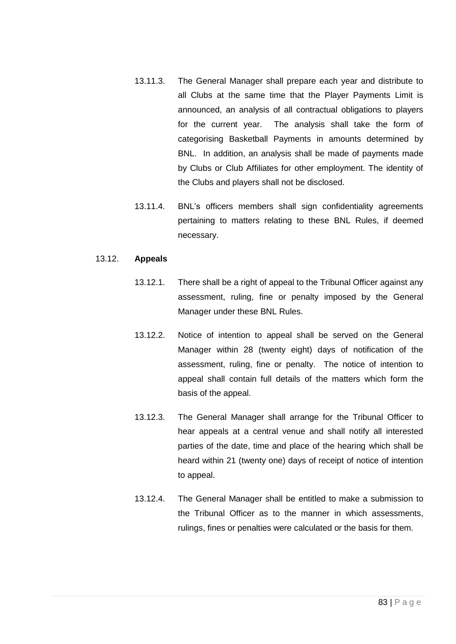- 13.11.3. The General Manager shall prepare each year and distribute to all Clubs at the same time that the Player Payments Limit is announced, an analysis of all contractual obligations to players for the current year. The analysis shall take the form of categorising Basketball Payments in amounts determined by BNL. In addition, an analysis shall be made of payments made by Clubs or Club Affiliates for other employment. The identity of the Clubs and players shall not be disclosed.
- 13.11.4. BNL's officers members shall sign confidentiality agreements pertaining to matters relating to these BNL Rules, if deemed necessary.

### <span id="page-82-0"></span>13.12. **Appeals**

- 13.12.1. There shall be a right of appeal to the Tribunal Officer against any assessment, ruling, fine or penalty imposed by the General Manager under these BNL Rules.
- 13.12.2. Notice of intention to appeal shall be served on the General Manager within 28 (twenty eight) days of notification of the assessment, ruling, fine or penalty. The notice of intention to appeal shall contain full details of the matters which form the basis of the appeal.
- 13.12.3. The General Manager shall arrange for the Tribunal Officer to hear appeals at a central venue and shall notify all interested parties of the date, time and place of the hearing which shall be heard within 21 (twenty one) days of receipt of notice of intention to appeal.
- 13.12.4. The General Manager shall be entitled to make a submission to the Tribunal Officer as to the manner in which assessments, rulings, fines or penalties were calculated or the basis for them.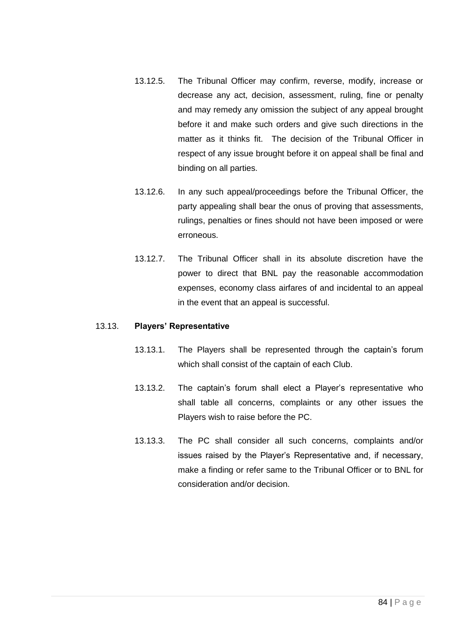- 13.12.5. The Tribunal Officer may confirm, reverse, modify, increase or decrease any act, decision, assessment, ruling, fine or penalty and may remedy any omission the subject of any appeal brought before it and make such orders and give such directions in the matter as it thinks fit. The decision of the Tribunal Officer in respect of any issue brought before it on appeal shall be final and binding on all parties.
- 13.12.6. In any such appeal/proceedings before the Tribunal Officer, the party appealing shall bear the onus of proving that assessments, rulings, penalties or fines should not have been imposed or were erroneous.
- 13.12.7. The Tribunal Officer shall in its absolute discretion have the power to direct that BNL pay the reasonable accommodation expenses, economy class airfares of and incidental to an appeal in the event that an appeal is successful.

### 13.13. **Players' Representative**

- 13.13.1. The Players shall be represented through the captain's forum which shall consist of the captain of each Club.
- 13.13.2. The captain's forum shall elect a Player's representative who shall table all concerns, complaints or any other issues the Players wish to raise before the PC.
- 13.13.3. The PC shall consider all such concerns, complaints and/or issues raised by the Player's Representative and, if necessary, make a finding or refer same to the Tribunal Officer or to BNL for consideration and/or decision.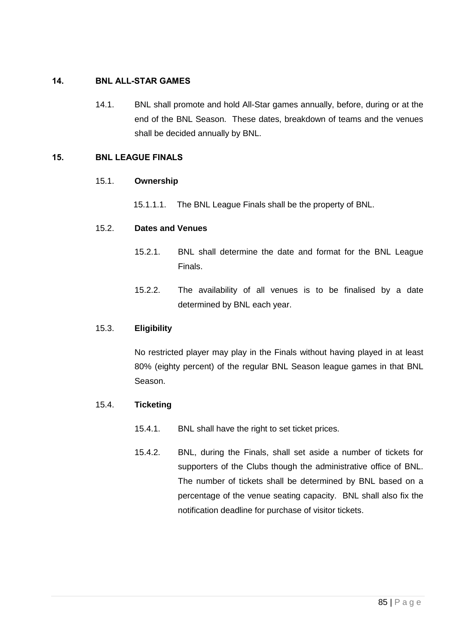# 14. BNL ALL-STAR GAMES

14.1. BNL shall promote and hold All-Star games annually, before, during or at the end of the BNL Season. These dates, breakdown of teams and the venues shall be decided annually by BNL.

## 15. BNL LEAGUE FINALS

## 15.1. **Ownership**

15.1.1.1. The BNL League Finals shall be the property of BNL.

## 15.2. **Dates and Venues**

- 15.2.1. BNL shall determine the date and format for the BNL League Finals.
- 15.2.2. The availability of all venues is to be finalised by a date determined by BNL each year.

### 15.3. **Eligibility**

No restricted player may play in the Finals without having played in at least 80% (eighty percent) of the regular BNL Season league games in that BNL Season.

### 15.4. **Ticketing**

- 15.4.1. BNL shall have the right to set ticket prices.
- 15.4.2. BNL, during the Finals, shall set aside a number of tickets for supporters of the Clubs though the administrative office of BNL. The number of tickets shall be determined by BNL based on a percentage of the venue seating capacity. BNL shall also fix the notification deadline for purchase of visitor tickets.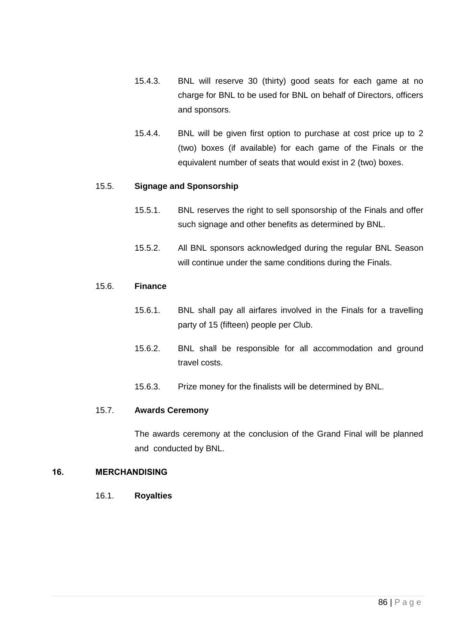- 15.4.3. BNL will reserve 30 (thirty) good seats for each game at no charge for BNL to be used for BNL on behalf of Directors, officers and sponsors.
- 15.4.4. BNL will be given first option to purchase at cost price up to 2 (two) boxes (if available) for each game of the Finals or the equivalent number of seats that would exist in 2 (two) boxes.

### 15.5. **Signage and Sponsorship**

- 15.5.1. BNL reserves the right to sell sponsorship of the Finals and offer such signage and other benefits as determined by BNL.
- 15.5.2. All BNL sponsors acknowledged during the regular BNL Season will continue under the same conditions during the Finals.

### 15.6. **Finance**

- 15.6.1. BNL shall pay all airfares involved in the Finals for a travelling party of 15 (fifteen) people per Club.
- 15.6.2. BNL shall be responsible for all accommodation and ground travel costs.
- 15.6.3. Prize money for the finalists will be determined by BNL.

### 15.7. **Awards Ceremony**

The awards ceremony at the conclusion of the Grand Final will be planned and conducted by BNL.

### 16. MERCHANDISING

16.1. **Royalties**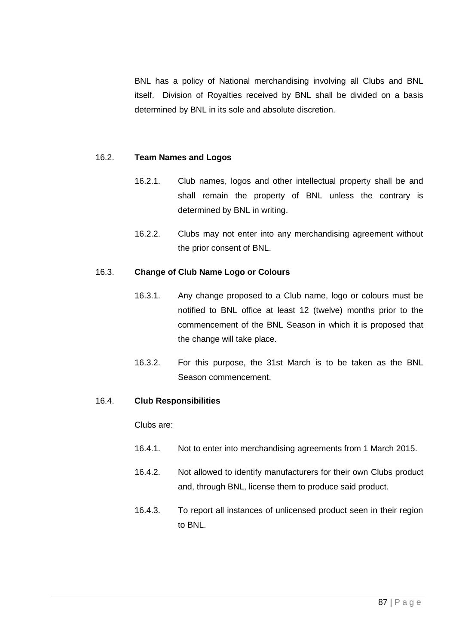BNL has a policy of National merchandising involving all Clubs and BNL itself. Division of Royalties received by BNL shall be divided on a basis determined by BNL in its sole and absolute discretion.

### 16.2. **Team Names and Logos**

- 16.2.1. Club names, logos and other intellectual property shall be and shall remain the property of BNL unless the contrary is determined by BNL in writing.
- 16.2.2. Clubs may not enter into any merchandising agreement without the prior consent of BNL.

#### 16.3. **Change of Club Name Logo or Colours**

- 16.3.1. Any change proposed to a Club name, logo or colours must be notified to BNL office at least 12 (twelve) months prior to the commencement of the BNL Season in which it is proposed that the change will take place.
- 16.3.2. For this purpose, the 31st March is to be taken as the BNL Season commencement.

#### 16.4. **Club Responsibilities**

Clubs are:

- 16.4.1. Not to enter into merchandising agreements from 1 March 2015.
- 16.4.2. Not allowed to identify manufacturers for their own Clubs product and, through BNL, license them to produce said product.
- 16.4.3. To report all instances of unlicensed product seen in their region to BNL.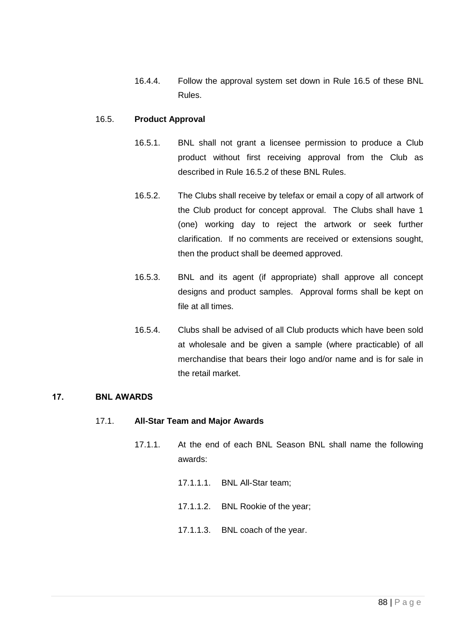16.4.4. Follow the approval system set down in Rule [16.5](#page-87-0) of these BNL Rules.

### <span id="page-87-0"></span>16.5. **Product Approval**

- 16.5.1. BNL shall not grant a licensee permission to produce a Club product without first receiving approval from the Club as described in Rule [16.5.2](#page-87-1) of these BNL Rules.
- <span id="page-87-1"></span>16.5.2. The Clubs shall receive by telefax or email a copy of all artwork of the Club product for concept approval. The Clubs shall have 1 (one) working day to reject the artwork or seek further clarification. If no comments are received or extensions sought, then the product shall be deemed approved.
- 16.5.3. BNL and its agent (if appropriate) shall approve all concept designs and product samples. Approval forms shall be kept on file at all times.
- 16.5.4. Clubs shall be advised of all Club products which have been sold at wholesale and be given a sample (where practicable) of all merchandise that bears their logo and/or name and is for sale in the retail market.

### 17. BNL AWARDS

### 17.1. **All-Star Team and Major Awards**

- 17.1.1. At the end of each BNL Season BNL shall name the following awards:
	- 17.1.1.1. BNL All-Star team;
	- 17.1.1.2. BNL Rookie of the year;
	- 17.1.1.3. BNL coach of the year.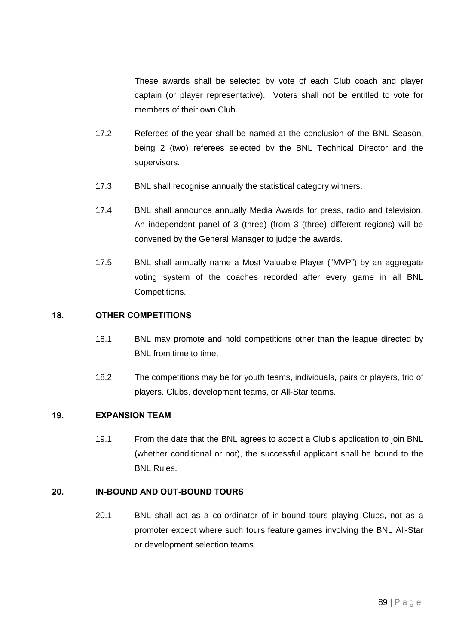These awards shall be selected by vote of each Club coach and player captain (or player representative). Voters shall not be entitled to vote for members of their own Club.

- 17.2. Referees-of-the-year shall be named at the conclusion of the BNL Season, being 2 (two) referees selected by the BNL Technical Director and the supervisors.
- 17.3. BNL shall recognise annually the statistical category winners.
- 17.4. BNL shall announce annually Media Awards for press, radio and television. An independent panel of 3 (three) (from 3 (three) different regions) will be convened by the General Manager to judge the awards.
- 17.5. BNL shall annually name a Most Valuable Player ("MVP") by an aggregate voting system of the coaches recorded after every game in all BNL Competitions.

### 18. OTHER COMPETITIONS

- 18.1. BNL may promote and hold competitions other than the league directed by BNL from time to time.
- 18.2. The competitions may be for youth teams, individuals, pairs or players, trio of players. Clubs, development teams, or All-Star teams.

# 19. EXPANSION TEAM

19.1. From the date that the BNL agrees to accept a Club's application to join BNL (whether conditional or not), the successful applicant shall be bound to the BNL Rules.

### 20. IN-BOUND AND OUT-BOUND TOURS

20.1. BNL shall act as a co-ordinator of in-bound tours playing Clubs, not as a promoter except where such tours feature games involving the BNL All-Star or development selection teams.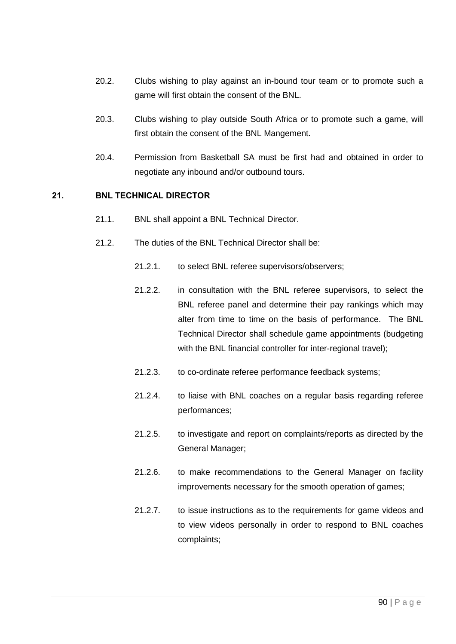- 20.2. Clubs wishing to play against an in-bound tour team or to promote such a game will first obtain the consent of the BNL.
- 20.3. Clubs wishing to play outside South Africa or to promote such a game, will first obtain the consent of the BNL Mangement.
- 20.4. Permission from Basketball SA must be first had and obtained in order to negotiate any inbound and/or outbound tours.

## 21. BNL TECHNICAL DIRECTOR

- 21.1. BNL shall appoint a BNL Technical Director.
- 21.2. The duties of the BNL Technical Director shall be:
	- 21.2.1. to select BNL referee supervisors/observers;
	- 21.2.2. in consultation with the BNL referee supervisors, to select the BNL referee panel and determine their pay rankings which may alter from time to time on the basis of performance. The BNL Technical Director shall schedule game appointments (budgeting with the BNL financial controller for inter-regional travel);
	- 21.2.3. to co-ordinate referee performance feedback systems;
	- 21.2.4. to liaise with BNL coaches on a regular basis regarding referee performances;
	- 21.2.5. to investigate and report on complaints/reports as directed by the General Manager;
	- 21.2.6. to make recommendations to the General Manager on facility improvements necessary for the smooth operation of games;
	- 21.2.7. to issue instructions as to the requirements for game videos and to view videos personally in order to respond to BNL coaches complaints;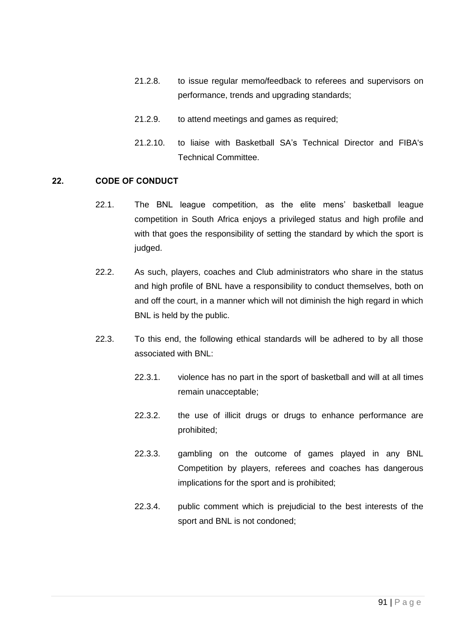- 21.2.8. to issue regular memo/feedback to referees and supervisors on performance, trends and upgrading standards;
- 21.2.9. to attend meetings and games as required;
- 21.2.10. to liaise with Basketball SA's Technical Director and FIBA's Technical Committee.

## 22. CODE OF CONDUCT

- 22.1. The BNL league competition, as the elite mens' basketball league competition in South Africa enjoys a privileged status and high profile and with that goes the responsibility of setting the standard by which the sport is judged.
- 22.2. As such, players, coaches and Club administrators who share in the status and high profile of BNL have a responsibility to conduct themselves, both on and off the court, in a manner which will not diminish the high regard in which BNL is held by the public.
- 22.3. To this end, the following ethical standards will be adhered to by all those associated with BNL:
	- 22.3.1. violence has no part in the sport of basketball and will at all times remain unacceptable;
	- 22.3.2. the use of illicit drugs or drugs to enhance performance are prohibited;
	- 22.3.3. gambling on the outcome of games played in any BNL Competition by players, referees and coaches has dangerous implications for the sport and is prohibited;
	- 22.3.4. public comment which is prejudicial to the best interests of the sport and BNL is not condoned;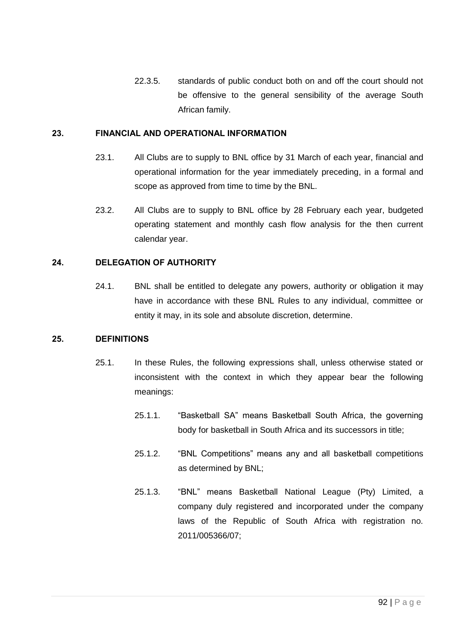22.3.5. standards of public conduct both on and off the court should not be offensive to the general sensibility of the average South African family.

## 23. FINANCIAL AND OPERATIONAL INFORMATION

- 23.1. All Clubs are to supply to BNL office by 31 March of each year, financial and operational information for the year immediately preceding, in a formal and scope as approved from time to time by the BNL.
- 23.2. All Clubs are to supply to BNL office by 28 February each year, budgeted operating statement and monthly cash flow analysis for the then current calendar year.

# 24. DELEGATION OF AUTHORITY

24.1. BNL shall be entitled to delegate any powers, authority or obligation it may have in accordance with these BNL Rules to any individual, committee or entity it may, in its sole and absolute discretion, determine.

### 25. DEFINITIONS

- 25.1. In these Rules, the following expressions shall, unless otherwise stated or inconsistent with the context in which they appear bear the following meanings:
	- 25.1.1. "Basketball SA" means Basketball South Africa, the governing body for basketball in South Africa and its successors in title;
	- 25.1.2. "BNL Competitions" means any and all basketball competitions as determined by BNL;
	- 25.1.3. "BNL" means Basketball National League (Pty) Limited, a company duly registered and incorporated under the company laws of the Republic of South Africa with registration no. 2011/005366/07;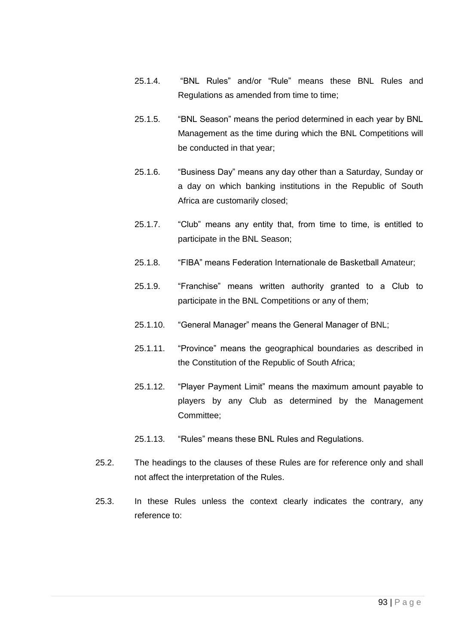- 25.1.4. "BNL Rules" and/or "Rule" means these BNL Rules and Regulations as amended from time to time;
- 25.1.5. "BNL Season" means the period determined in each year by BNL Management as the time during which the BNL Competitions will be conducted in that year;
- 25.1.6. "Business Day" means any day other than a Saturday, Sunday or a day on which banking institutions in the Republic of South Africa are customarily closed;
- 25.1.7. "Club" means any entity that, from time to time, is entitled to participate in the BNL Season;
- 25.1.8. "FIBA" means Federation Internationale de Basketball Amateur;
- 25.1.9. "Franchise" means written authority granted to a Club to participate in the BNL Competitions or any of them;
- 25.1.10. "General Manager" means the General Manager of BNL;
- 25.1.11. "Province" means the geographical boundaries as described in the Constitution of the Republic of South Africa;
- 25.1.12. "Player Payment Limit" means the maximum amount payable to players by any Club as determined by the Management Committee;
- 25.1.13. "Rules" means these BNL Rules and Regulations.
- 25.2. The headings to the clauses of these Rules are for reference only and shall not affect the interpretation of the Rules.
- 25.3. In these Rules unless the context clearly indicates the contrary, any reference to: